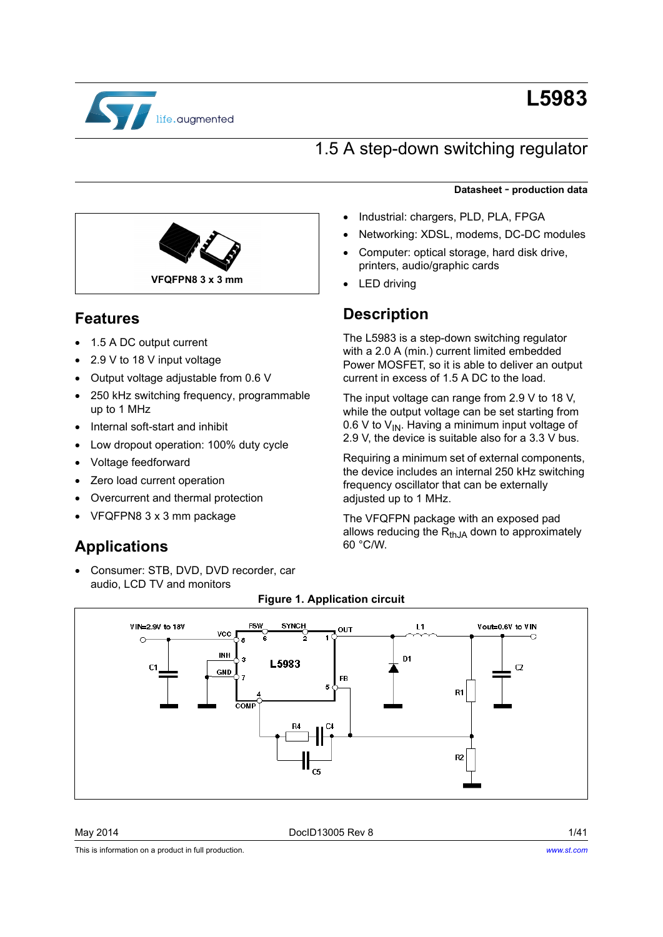

# **L5983**

## 1.5 A step-down switching regulator



### **Features**

- 1.5 A DC output current
- 2.9 V to 18 V input voltage
- Output voltage adjustable from 0.6 V
- 250 kHz switching frequency, programmable up to 1 MHz
- Internal soft-start and inhibit
- Low dropout operation: 100% duty cycle
- Voltage feedforward
- Zero load current operation
- Overcurrent and thermal protection
- VFQFPN8 3 x 3 mm package

### **Applications**

 Consumer: STB, DVD, DVD recorder, car audio, LCD TV and monitors

### **Datasheet** - **production data**

- Industrial: chargers, PLD, PLA, FPGA
- Networking: XDSL, modems, DC-DC modules
- Computer: optical storage, hard disk drive, printers, audio/graphic cards
- LED driving

### **Description**

The L5983 is a step-down switching regulator with a 2.0 A (min.) current limited embedded Power MOSFET, so it is able to deliver an output current in excess of 1.5 A DC to the load.

The input voltage can range from 2.9 V to 18 V, while the output voltage can be set starting from 0.6 V to  $V_{IN}$ . Having a minimum input voltage of 2.9 V, the device is suitable also for a 3.3 V bus.

Requiring a minimum set of external components, the device includes an internal 250 kHz switching frequency oscillator that can be externally adjusted up to 1 MHz.

The VFQFPN package with an exposed pad allows reducing the  $R_{thJA}$  down to approximately 60 °C/W.



#### **Figure 1. Application circuit**

May 2014 **DoclD13005 Rev 8** 2014 **DoclD13005 Rev 8** 

This is information on a product in full production.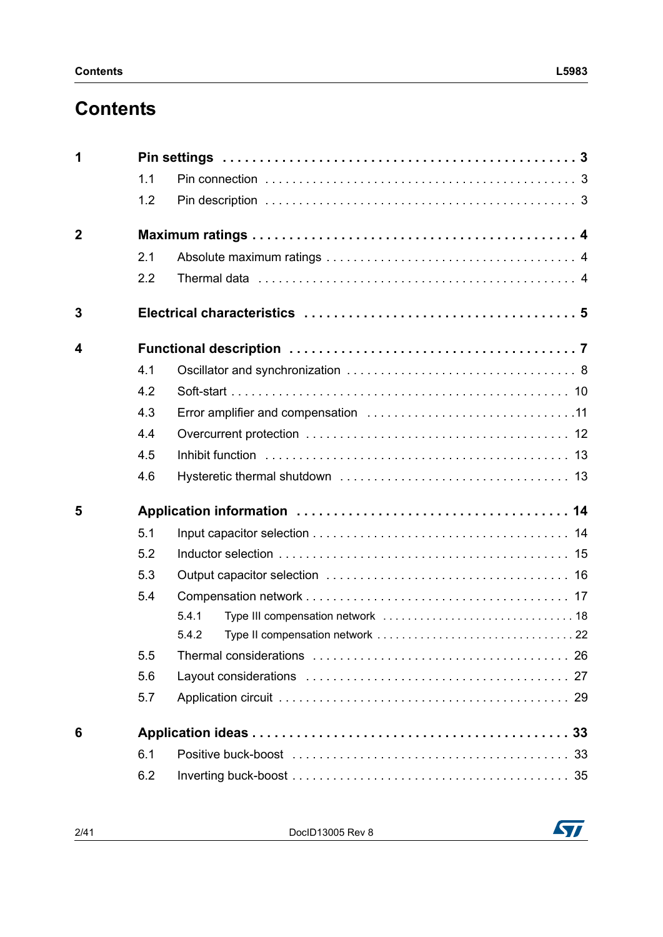## **Contents**

| 1              |     |       |
|----------------|-----|-------|
|                | 1.1 |       |
|                | 1.2 |       |
| $\overline{2}$ |     |       |
|                | 2.1 |       |
|                | 2.2 |       |
| 3              |     |       |
| 4              |     |       |
|                | 4.1 |       |
|                | 4.2 |       |
|                | 4.3 |       |
|                | 4.4 |       |
|                | 4.5 |       |
|                | 4.6 |       |
| 5              |     |       |
|                | 5.1 |       |
|                | 5.2 |       |
|                | 5.3 |       |
|                | 5.4 |       |
|                |     | 5.4.1 |
|                |     | 5.4.2 |
|                | 5.5 |       |
|                | 5.6 |       |
|                | 5.7 |       |
| 6              |     |       |
|                | 6.1 |       |
|                | 6.2 |       |

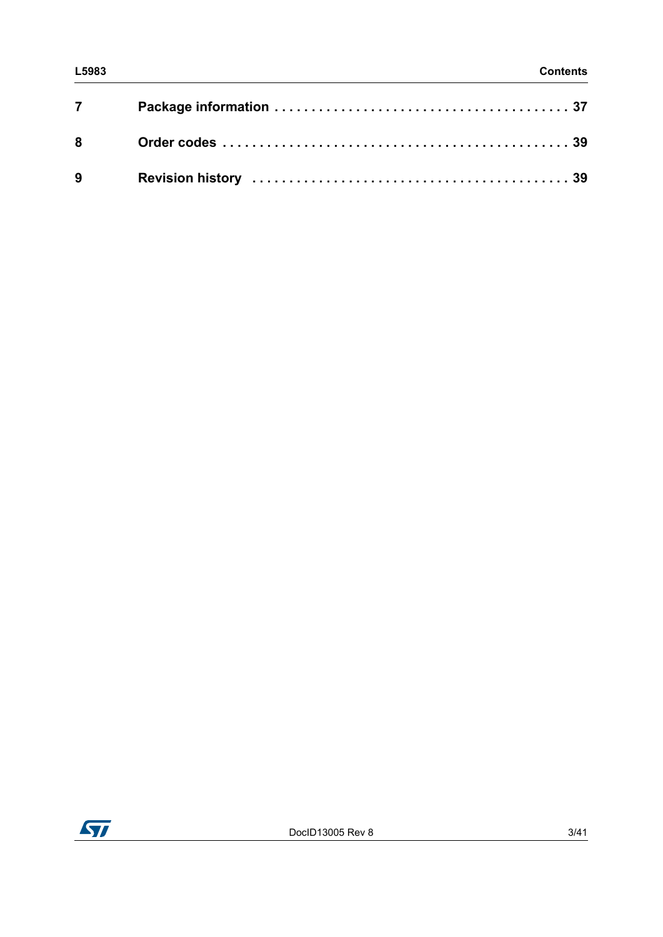| $7 \quad \overline{\phantom{1}}$ |  |
|----------------------------------|--|
|                                  |  |
|                                  |  |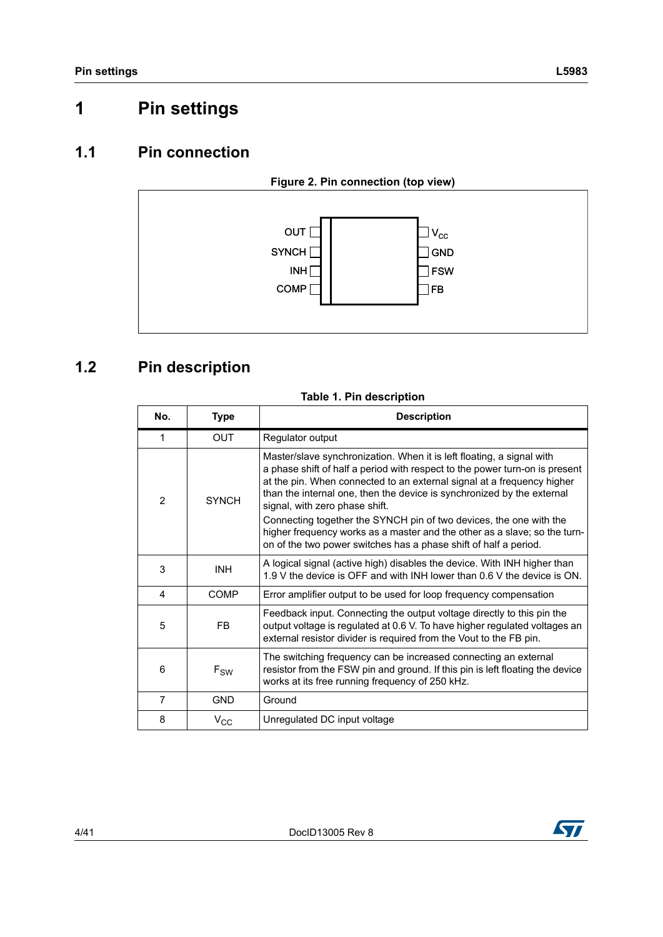## <span id="page-3-0"></span>**1 Pin settings**

### <span id="page-3-1"></span>**1.1 Pin connection**

<span id="page-3-3"></span>

## <span id="page-3-2"></span>**1.2 Pin description**

#### **Table 1. Pin description**

| No.            | Type         | <b>Description</b>                                                                                                                                                                                                                                                                                                                         |
|----------------|--------------|--------------------------------------------------------------------------------------------------------------------------------------------------------------------------------------------------------------------------------------------------------------------------------------------------------------------------------------------|
| 1              | <b>OUT</b>   | Regulator output                                                                                                                                                                                                                                                                                                                           |
| $\overline{2}$ | <b>SYNCH</b> | Master/slave synchronization. When it is left floating, a signal with<br>a phase shift of half a period with respect to the power turn-on is present<br>at the pin. When connected to an external signal at a frequency higher<br>than the internal one, then the device is synchronized by the external<br>signal, with zero phase shift. |
|                |              | Connecting together the SYNCH pin of two devices, the one with the<br>higher frequency works as a master and the other as a slave; so the turn-<br>on of the two power switches has a phase shift of half a period.                                                                                                                        |
| 3              | <b>INH</b>   | A logical signal (active high) disables the device. With INH higher than<br>1.9 V the device is OFF and with INH lower than 0.6 V the device is ON.                                                                                                                                                                                        |
| 4              | COMP         | Error amplifier output to be used for loop frequency compensation                                                                                                                                                                                                                                                                          |
| 5              | <b>FB</b>    | Feedback input. Connecting the output voltage directly to this pin the<br>output voltage is regulated at 0.6 V. To have higher regulated voltages an<br>external resistor divider is required from the Vout to the FB pin.                                                                                                                 |
| 6              | $F_{SW}$     | The switching frequency can be increased connecting an external<br>resistor from the FSW pin and ground. If this pin is left floating the device<br>works at its free running frequency of 250 kHz.                                                                                                                                        |
| 7              | <b>GND</b>   | Ground                                                                                                                                                                                                                                                                                                                                     |
| 8              | $V_{CC}$     | Unregulated DC input voltage                                                                                                                                                                                                                                                                                                               |

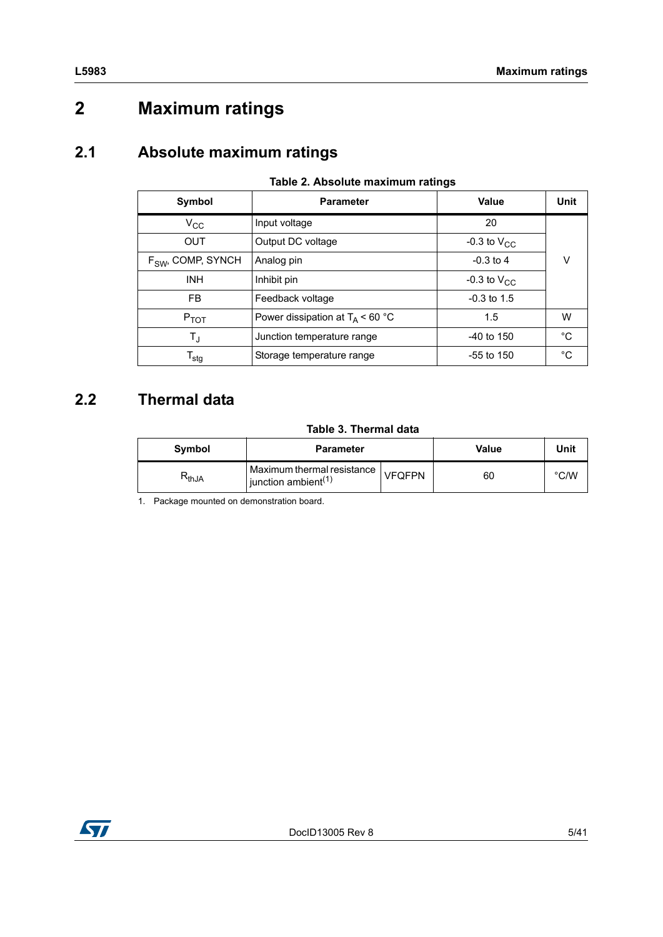## <span id="page-4-0"></span>**2 Maximum ratings**

### <span id="page-4-1"></span>**2.1 Absolute maximum ratings**

| Symbol                      | <b>Parameter</b>                   | Value            | Unit        |  |
|-----------------------------|------------------------------------|------------------|-------------|--|
| $V_{\rm CC}$                | Input voltage                      | 20               |             |  |
| <b>OUT</b>                  | Output DC voltage                  | -0.3 to $V_{CC}$ |             |  |
| $FSW$ , COMP, SYNCH         | Analog pin                         | $-0.3$ to 4      | ν           |  |
| <b>INH</b>                  | Inhibit pin                        | -0.3 to $V_{CC}$ |             |  |
| <b>FB</b>                   | Feedback voltage                   | $-0.3$ to 1.5    |             |  |
| $P_{TOT}$                   | Power dissipation at $T_A$ < 60 °C | 1.5              | W           |  |
| $T_{\text{J}}$              | Junction temperature range         | $-40$ to 150     | $^{\circ}C$ |  |
| $\mathsf{T}_{\textsf{stg}}$ | Storage temperature range          | $-55$ to 150     | °C          |  |

#### **Table 2. Absolute maximum ratings**

## <span id="page-4-2"></span>**2.2 Thermal data**

#### **Table 3. Thermal data**

<span id="page-4-3"></span>

| <b>Symbol</b> | <b>Parameter</b>                                                    |               | Value | Unit |
|---------------|---------------------------------------------------------------------|---------------|-------|------|
| ιkthJA        | Maximum thermal resistance  <br>$l$ junction ambient <sup>(1)</sup> | <b>VFQFPN</b> | 60    | °C/W |

1. Package mounted on demonstration board.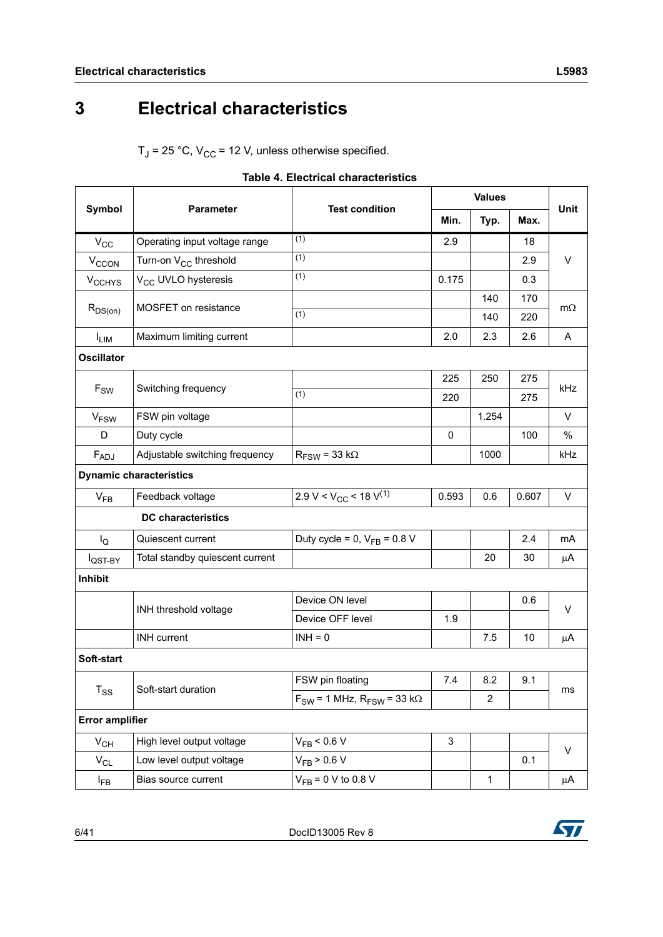## <span id="page-5-0"></span>**3 Electrical characteristics**

 $T_J$  = 25 °C,  $V_{CC}$  = 12 V, unless otherwise specified.

<span id="page-5-1"></span>

|                            |                                   |                                               | <b>Values</b> |                |       |           |  |
|----------------------------|-----------------------------------|-----------------------------------------------|---------------|----------------|-------|-----------|--|
| Symbol                     | <b>Parameter</b>                  | <b>Test condition</b>                         | Min.          | Typ.           | Max.  | Unit      |  |
| $V_{CC}$                   | Operating input voltage range     | (1)                                           | 2.9           |                | 18    |           |  |
| V <sub>CCON</sub>          | Turn-on V <sub>CC</sub> threshold | (1)                                           |               |                | 2.9   | V         |  |
| <b>V<sub>CCHYS</sub></b>   | V <sub>CC</sub> UVLO hysteresis   | (1)                                           | 0.175         |                | 0.3   |           |  |
|                            | MOSFET on resistance              |                                               |               | 140            | 170   |           |  |
| $R_{DS(on)}$               |                                   | (1)                                           |               | 140            | 220   | $m\Omega$ |  |
| <b>ILIM</b>                | Maximum limiting current          |                                               | 2.0           | 2.3            | 2.6   | Α         |  |
| <b>Oscillator</b>          |                                   |                                               |               |                |       |           |  |
|                            |                                   |                                               | 225           | 250            | 275   |           |  |
| $F_{SW}$                   | Switching frequency               | (1)                                           | 220           |                | 275   | kHz       |  |
| <b>V<sub>FSW</sub></b>     | FSW pin voltage                   |                                               |               | 1.254          |       | $\vee$    |  |
| D                          | Duty cycle                        |                                               | $\mathbf 0$   |                | 100   | $\%$      |  |
| $F_{ADJ}$                  | Adjustable switching frequency    | $R_{FSW}$ = 33 k $\Omega$                     |               | 1000           |       | kHz       |  |
|                            | <b>Dynamic characteristics</b>    |                                               |               |                |       |           |  |
| $V_{FB}$                   | Feedback voltage                  | 2.9 V < V <sub>CC</sub> < 18 V <sup>(1)</sup> | 0.593         | 0.6            | 0.607 | $\vee$    |  |
|                            | <b>DC</b> characteristics         |                                               |               |                |       |           |  |
| $I_{\rm Q}$                | Quiescent current                 | Duty cycle = 0, $V_{FB}$ = 0.8 V              |               |                | 2.4   | mA        |  |
| l <sub>QST-BY</sub>        | Total standby quiescent current   |                                               |               | 20             | 30    | μA        |  |
| Inhibit                    |                                   |                                               |               |                |       |           |  |
|                            |                                   | Device ON level                               |               |                | 0.6   | V         |  |
|                            | INH threshold voltage             | Device OFF level                              | 1.9           |                |       |           |  |
|                            | <b>INH</b> current                | $INH = 0$                                     |               | 7.5            | 10    | μA        |  |
| Soft-start                 |                                   |                                               |               |                |       |           |  |
|                            |                                   | FSW pin floating                              | 7.4           | 8.2            | 9.1   |           |  |
| $\mathsf{T}_{\mathsf{SS}}$ | Soft-start duration               | $F_{SW}$ = 1 MHz, $R_{FSW}$ = 33 k $\Omega$   |               | $\overline{2}$ |       | ms        |  |
| <b>Error amplifier</b>     |                                   |                                               |               |                |       |           |  |
| $V_{CH}$                   | High level output voltage         | $V_{FB}$ < 0.6 V                              | 3             |                |       |           |  |
| $V_{CL}$                   | Low level output voltage          | $V_{FB}$ > 0.6 V                              |               |                | 0.1   | V         |  |
| l <sub>FB</sub>            | Bias source current               | $V_{FB} = 0 V$ to 0.8 V                       |               | 1              |       | $\mu$ A   |  |

|  |  | <b>Table 4. Electrical characteristics</b> |
|--|--|--------------------------------------------|
|--|--|--------------------------------------------|

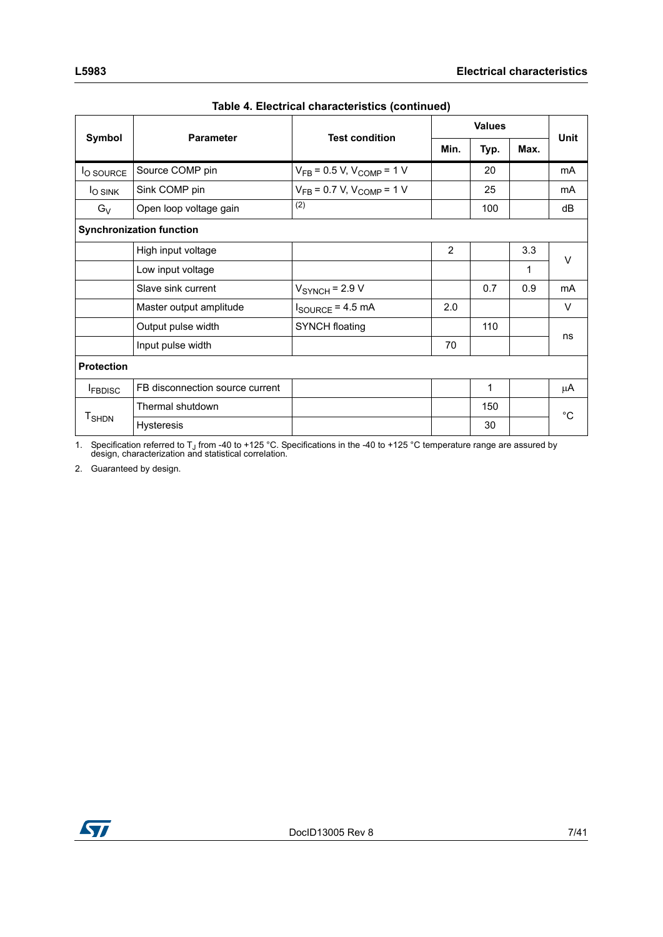|                          | <b>Parameter</b>                | <b>Test condition</b>              | <b>Values</b> |      |      |             |
|--------------------------|---------------------------------|------------------------------------|---------------|------|------|-------------|
| Symbol                   |                                 |                                    | Min.          | Typ. | Max. | <b>Unit</b> |
| <sup>I</sup> O SOURCE    | Source COMP pin                 | $V_{FB}$ = 0.5 V, $V_{COMP}$ = 1 V |               | 20   |      | mA          |
| <sup>I</sup> O SINK      | Sink COMP pin                   | $V_{FB} = 0.7 V, V_{COMP} = 1 V$   |               | 25   |      | mA          |
| $G_V$                    | Open loop voltage gain          | (2)                                |               | 100  |      | dB          |
|                          | <b>Synchronization function</b> |                                    |               |      |      |             |
|                          | High input voltage              |                                    | 2             |      | 3.3  | $\vee$      |
|                          | Low input voltage               |                                    |               |      | 1    |             |
|                          | Slave sink current              | $VSYNCH = 2.9 V$                   |               | 0.7  | 0.9  | mA          |
|                          | Master output amplitude         | $I_{\text{SOURCE}}$ = 4.5 mA       | 2.0           |      |      | $\vee$      |
|                          | Output pulse width              | <b>SYNCH floating</b>              |               | 110  |      | ns          |
|                          | Input pulse width               |                                    | 70            |      |      |             |
| <b>Protection</b>        |                                 |                                    |               |      |      |             |
| <b>FBDISC</b>            | FB disconnection source current |                                    |               | 1    |      | μA          |
|                          | Thermal shutdown                |                                    |               | 150  |      | $^{\circ}C$ |
| <b>T</b> <sub>SHDN</sub> | Hysteresis                      |                                    |               | 30   |      |             |

1. Specification referred to T<sub>J</sub> from -40 to +125 °C. Specifications in the -40 to +125 °C temperature range are assured by design, characterization and statistical correlation.

2. Guaranteed by design.

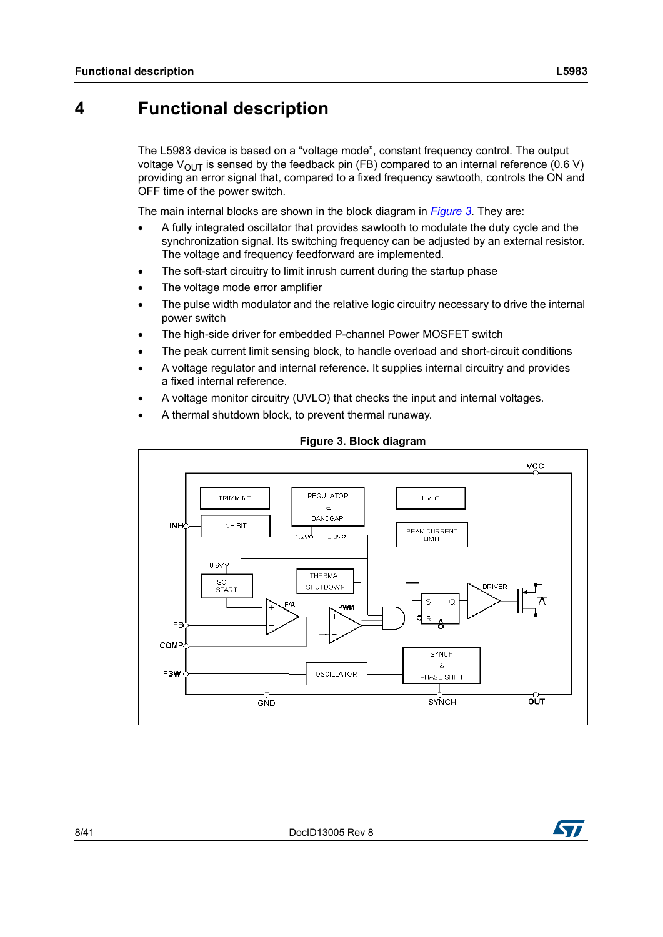## <span id="page-7-0"></span>**4 Functional description**

The L5983 device is based on a "voltage mode", constant frequency control. The output voltage  $V_{\text{OUT}}$  is sensed by the feedback pin (FB) compared to an internal reference (0.6 V) providing an error signal that, compared to a fixed frequency sawtooth, controls the ON and OFF time of the power switch.

The main internal blocks are shown in the block diagram in *[Figure 3](#page-7-1)*. They are:

- A fully integrated oscillator that provides sawtooth to modulate the duty cycle and the synchronization signal. Its switching frequency can be adjusted by an external resistor. The voltage and frequency feedforward are implemented.
- The soft-start circuitry to limit inrush current during the startup phase
- The voltage mode error amplifier
- The pulse width modulator and the relative logic circuitry necessary to drive the internal power switch
- The high-side driver for embedded P-channel Power MOSFET switch
- The peak current limit sensing block, to handle overload and short-circuit conditions
- A voltage regulator and internal reference. It supplies internal circuitry and provides a fixed internal reference.
- A voltage monitor circuitry (UVLO) that checks the input and internal voltages.
- A thermal shutdown block, to prevent thermal runaway.

<span id="page-7-1"></span>

#### **Figure 3. Block diagram**

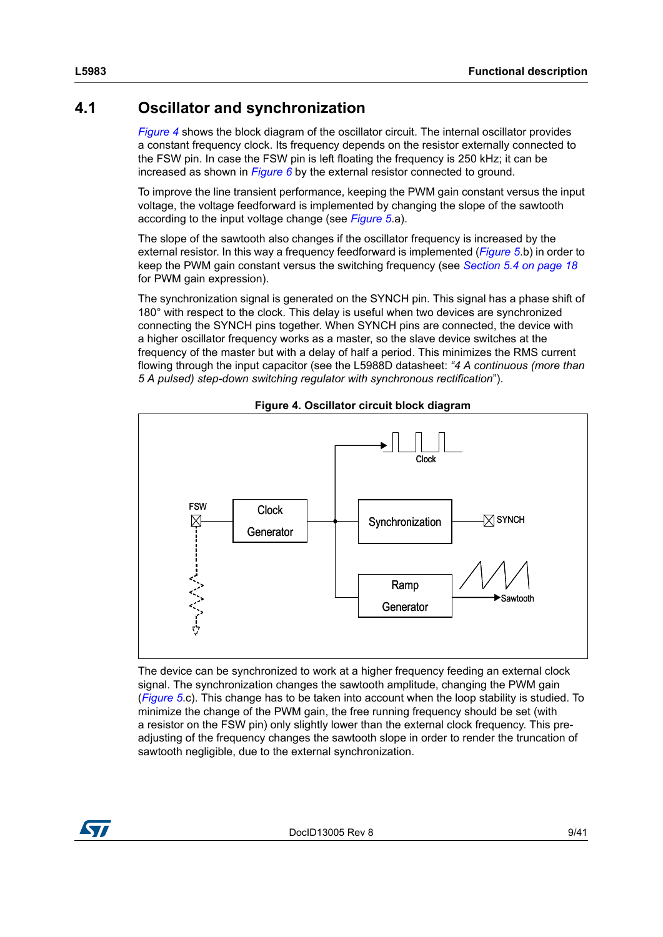### <span id="page-8-0"></span>**4.1 Oscillator and synchronization**

*[Figure 4](#page-8-1)* shows the block diagram of the oscillator circuit. The internal oscillator provides a constant frequency clock. Its frequency depends on the resistor externally connected to the FSW pin. In case the FSW pin is left floating the frequency is 250 kHz; it can be increased as shown in *[Figure 6](#page-9-0)* by the external resistor connected to ground.

To improve the line transient performance, keeping the PWM gain constant versus the input voltage, the voltage feedforward is implemented by changing the slope of the sawtooth according to the input voltage change (see *[Figure 5](#page-9-1)*.a).

The slope of the sawtooth also changes if the oscillator frequency is increased by the external resistor. In this way a frequency feedforward is implemented (*[Figure 5](#page-9-1)*.b) in order to keep the PWM gain constant versus the switching frequency (see *[Section 5.4 on page 18](#page-17-0)* for PWM gain expression).

The synchronization signal is generated on the SYNCH pin. This signal has a phase shift of 180° with respect to the clock. This delay is useful when two devices are synchronized connecting the SYNCH pins together. When SYNCH pins are connected, the device with a higher oscillator frequency works as a master, so the slave device switches at the frequency of the master but with a delay of half a period. This minimizes the RMS current flowing through the input capacitor (see the L5988D datasheet: *"4 A continuous (more than 5 A pulsed) step-down switching regulator with synchronous rectification*").

<span id="page-8-1"></span>

**Figure 4. Oscillator circuit block diagram**

The device can be synchronized to work at a higher frequency feeding an external clock signal. The synchronization changes the sawtooth amplitude, changing the PWM gain (*[Figure 5](#page-9-1)*.c). This change has to be taken into account when the loop stability is studied. To minimize the change of the PWM gain, the free running frequency should be set (with a resistor on the FSW pin) only slightly lower than the external clock frequency. This preadjusting of the frequency changes the sawtooth slope in order to render the truncation of sawtooth negligible, due to the external synchronization.



DocID13005 Rev 8 9/41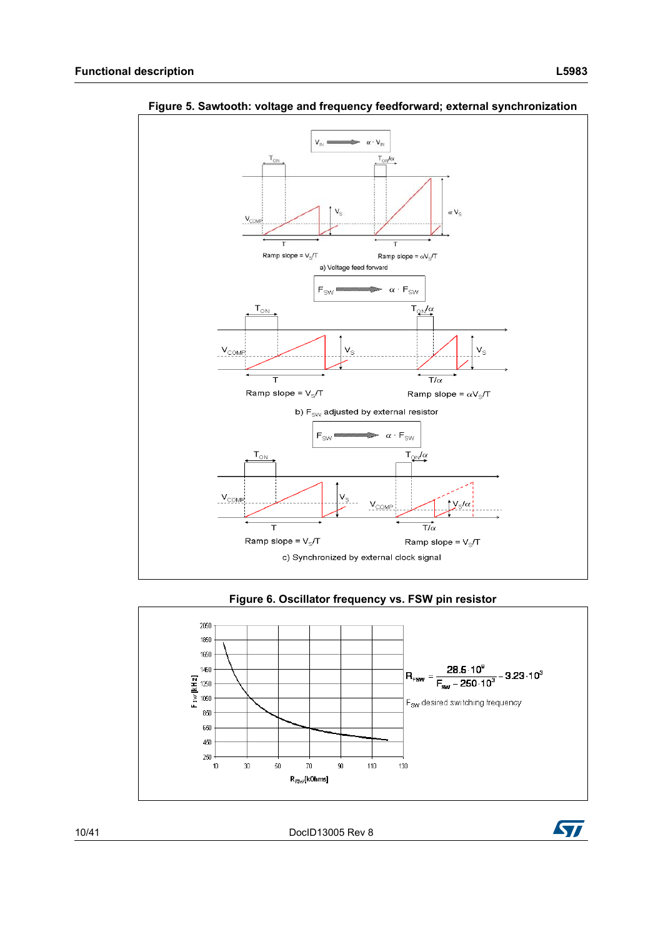

<span id="page-9-1"></span>

<span id="page-9-0"></span>

10/41 DocID13005 Rev 8

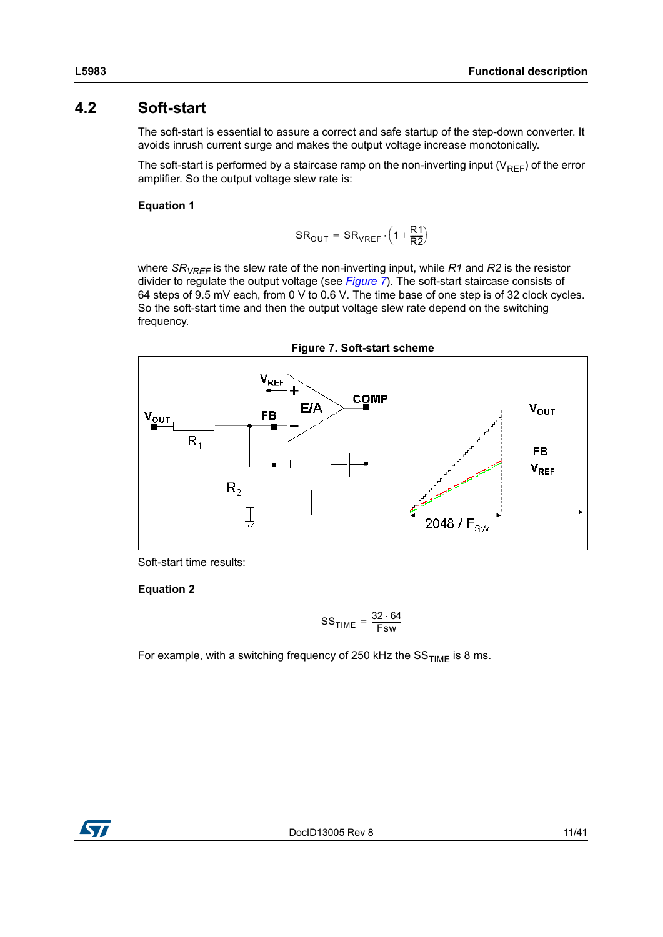### <span id="page-10-0"></span>**4.2 Soft-start**

The soft-start is essential to assure a correct and safe startup of the step-down converter. It avoids inrush current surge and makes the output voltage increase monotonically.

The soft-start is performed by a staircase ramp on the non-inverting input ( $V_{REF}$ ) of the error amplifier. So the output voltage slew rate is:

#### **Equation 1**

$$
SR_{OUT} = SR_{VREF} \cdot \left(1 + \frac{R1}{R2}\right)
$$

where *SRVREF* is the slew rate of the non-inverting input, while *R1* and *R2* is the resistor divider to regulate the output voltage (see *[Figure 7](#page-10-1)*). The soft-start staircase consists of 64 steps of 9.5 mV each, from 0 V to 0.6 V. The time base of one step is of 32 clock cycles. So the soft-start time and then the output voltage slew rate depend on the switching frequency.

<span id="page-10-1"></span>

Soft-start time results:

**Equation 2**

$$
SS_{TIME} = \frac{32 \cdot 64}{Fsw}
$$

For example, with a switching frequency of 250 kHz the  $SS_{TIME}$  is 8 ms.

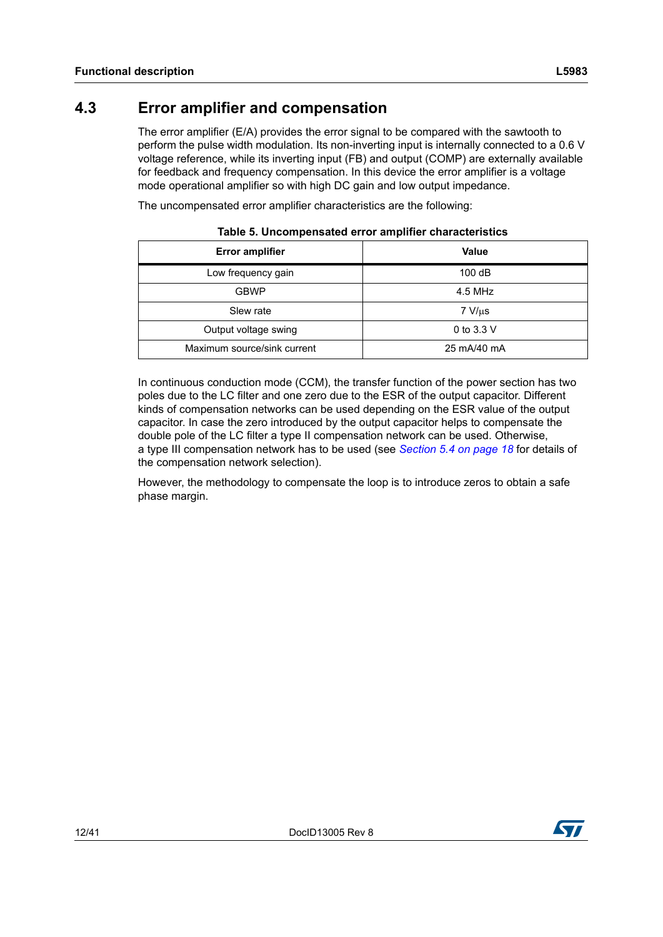### <span id="page-11-0"></span>**4.3 Error amplifier and compensation**

The error amplifier (E/A) provides the error signal to be compared with the sawtooth to perform the pulse width modulation. Its non-inverting input is internally connected to a 0.6 V voltage reference, while its inverting input (FB) and output (COMP) are externally available for feedback and frequency compensation. In this device the error amplifier is a voltage mode operational amplifier so with high DC gain and low output impedance.

The uncompensated error amplifier characteristics are the following:

| <b>Error amplifier</b>      | <b>Value</b> |
|-----------------------------|--------------|
| Low frequency gain          | 100dB        |
| <b>GBWP</b>                 | 4.5 MHz      |
| Slew rate                   | $7 V/\mu s$  |
| Output voltage swing        | 0 to 3.3 $V$ |
| Maximum source/sink current | 25 mA/40 mA  |

**Table 5. Uncompensated error amplifier characteristics**

In continuous conduction mode (CCM), the transfer function of the power section has two poles due to the LC filter and one zero due to the ESR of the output capacitor. Different kinds of compensation networks can be used depending on the ESR value of the output capacitor. In case the zero introduced by the output capacitor helps to compensate the double pole of the LC filter a type II compensation network can be used. Otherwise, a type III compensation network has to be used (see *[Section 5.4 on page 18](#page-17-0)* for details of the compensation network selection).

However, the methodology to compensate the loop is to introduce zeros to obtain a safe phase margin.

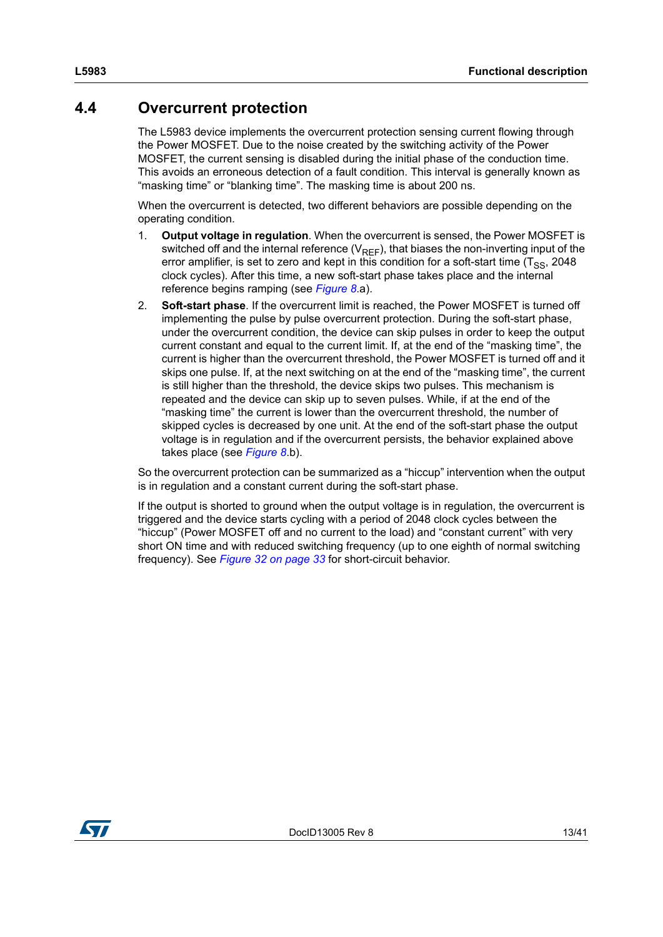### <span id="page-12-0"></span>**4.4 Overcurrent protection**

The L5983 device implements the overcurrent protection sensing current flowing through the Power MOSFET. Due to the noise created by the switching activity of the Power MOSFET, the current sensing is disabled during the initial phase of the conduction time. This avoids an erroneous detection of a fault condition. This interval is generally known as "masking time" or "blanking time". The masking time is about 200 ns.

When the overcurrent is detected, two different behaviors are possible depending on the operating condition.

- 1. **Output voltage in regulation**. When the overcurrent is sensed, the Power MOSFET is switched off and the internal reference  $(V_{REF})$ , that biases the non-inverting input of the error amplifier, is set to zero and kept in this condition for a soft-start time  $(T_{SS}, 2048)$ clock cycles). After this time, a new soft-start phase takes place and the internal reference begins ramping (see *[Figure 8](#page-13-2)*.a).
- 2. **Soft-start phase**. If the overcurrent limit is reached, the Power MOSFET is turned off implementing the pulse by pulse overcurrent protection. During the soft-start phase, under the overcurrent condition, the device can skip pulses in order to keep the output current constant and equal to the current limit. If, at the end of the "masking time", the current is higher than the overcurrent threshold, the Power MOSFET is turned off and it skips one pulse. If, at the next switching on at the end of the "masking time", the current is still higher than the threshold, the device skips two pulses. This mechanism is repeated and the device can skip up to seven pulses. While, if at the end of the "masking time" the current is lower than the overcurrent threshold, the number of skipped cycles is decreased by one unit. At the end of the soft-start phase the output voltage is in regulation and if the overcurrent persists, the behavior explained above takes place (see *[Figure 8](#page-13-2)*.b).

So the overcurrent protection can be summarized as a "hiccup" intervention when the output is in regulation and a constant current during the soft-start phase.

If the output is shorted to ground when the output voltage is in regulation, the overcurrent is triggered and the device starts cycling with a period of 2048 clock cycles between the "hiccup" (Power MOSFET off and no current to the load) and "constant current" with very short ON time and with reduced switching frequency (up to one eighth of normal switching frequency). See *[Figure 32 on page 33](#page-32-0)* for short-circuit behavior.

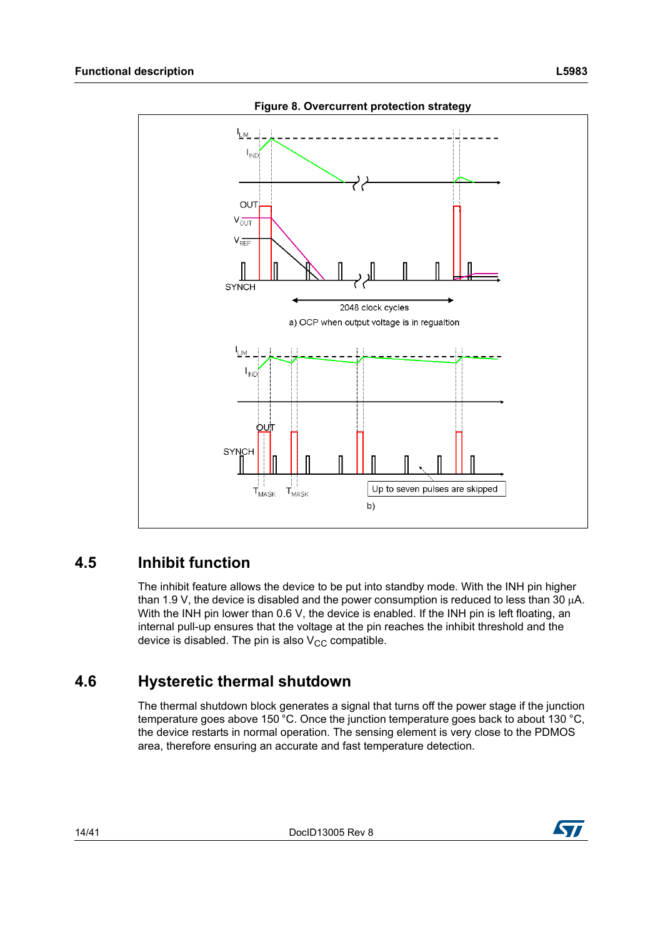<span id="page-13-2"></span>

**Figure 8. Overcurrent protection strategy**

### <span id="page-13-0"></span>**4.5 Inhibit function**

The inhibit feature allows the device to be put into standby mode. With the INH pin higher than 1.9 V, the device is disabled and the power consumption is reduced to less than 30  $\mu$ A. With the INH pin lower than 0.6 V, the device is enabled. If the INH pin is left floating, an internal pull-up ensures that the voltage at the pin reaches the inhibit threshold and the device is disabled. The pin is also  $V_{CC}$  compatible.

### <span id="page-13-1"></span>**4.6 Hysteretic thermal shutdown**

The thermal shutdown block generates a signal that turns off the power stage if the junction temperature goes above 150 °C. Once the junction temperature goes back to about 130 °C, the device restarts in normal operation. The sensing element is very close to the PDMOS area, therefore ensuring an accurate and fast temperature detection.

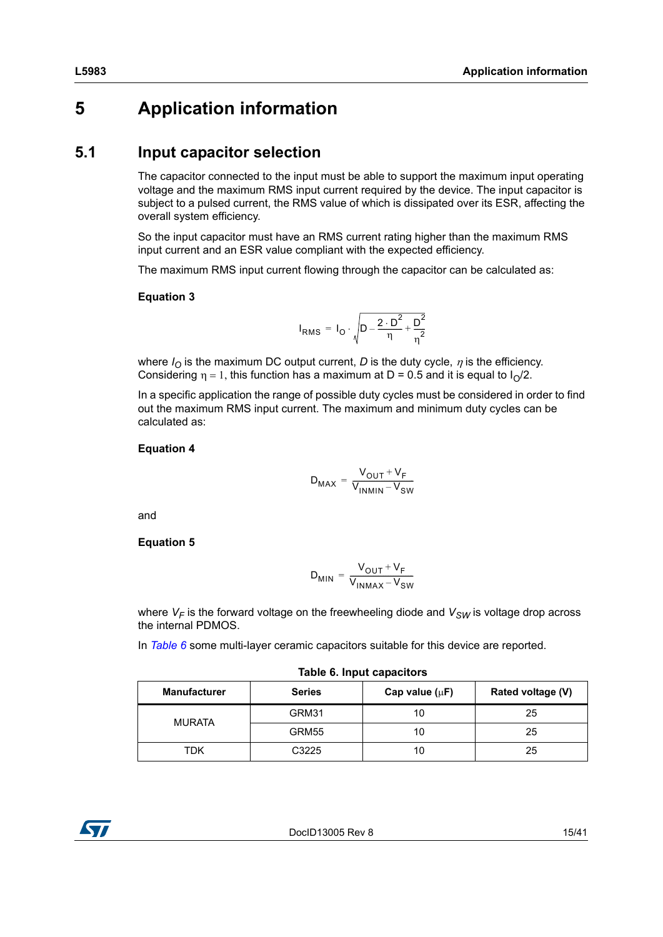## <span id="page-14-0"></span>**5 Application information**

### <span id="page-14-1"></span>**5.1 Input capacitor selection**

The capacitor connected to the input must be able to support the maximum input operating voltage and the maximum RMS input current required by the device. The input capacitor is subject to a pulsed current, the RMS value of which is dissipated over its ESR, affecting the overall system efficiency.

So the input capacitor must have an RMS current rating higher than the maximum RMS input current and an ESR value compliant with the expected efficiency.

The maximum RMS input current flowing through the capacitor can be calculated as:

#### **Equation 3**

$$
I_{RMS} = I_{O} \cdot \sqrt{D - \frac{2 \cdot D^{2}}{\eta} + \frac{D^{2}}{\eta^{2}}}
$$

where  $I<sub>O</sub>$  is the maximum DC output current, *D* is the duty cycle,  $\eta$  is the efficiency. Considering  $\eta = 1$ , this function has a maximum at D = 0.5 and it is equal to  $I_0/2$ .

In a specific application the range of possible duty cycles must be considered in order to find out the maximum RMS input current. The maximum and minimum duty cycles can be calculated as:

#### **Equation 4**

$$
D_{MAX} = \frac{V_{OUT} + V_F}{V_{INMIN} - V_{SW}}
$$

and

**Equation 5**

$$
D_{MIN} = \frac{V_{OUT} + V_F}{V_{INMAX} - V_{SW}}
$$

where  $V_F$  is the forward voltage on the freewheeling diode and  $V_{SW}$  is voltage drop across the internal PDMOS.

In *[Table 6](#page-14-2)* some multi-layer ceramic capacitors suitable for this device are reported.

<span id="page-14-2"></span>

| .                   |               |                     |                   |  |  |
|---------------------|---------------|---------------------|-------------------|--|--|
| <b>Manufacturer</b> | <b>Series</b> | Cap value $(\mu F)$ | Rated voltage (V) |  |  |
| <b>MURATA</b>       | GRM31         | 10                  | 25                |  |  |
|                     | GRM55         | 10                  | 25                |  |  |
| TDK                 | C3225         | 10                  | 25                |  |  |



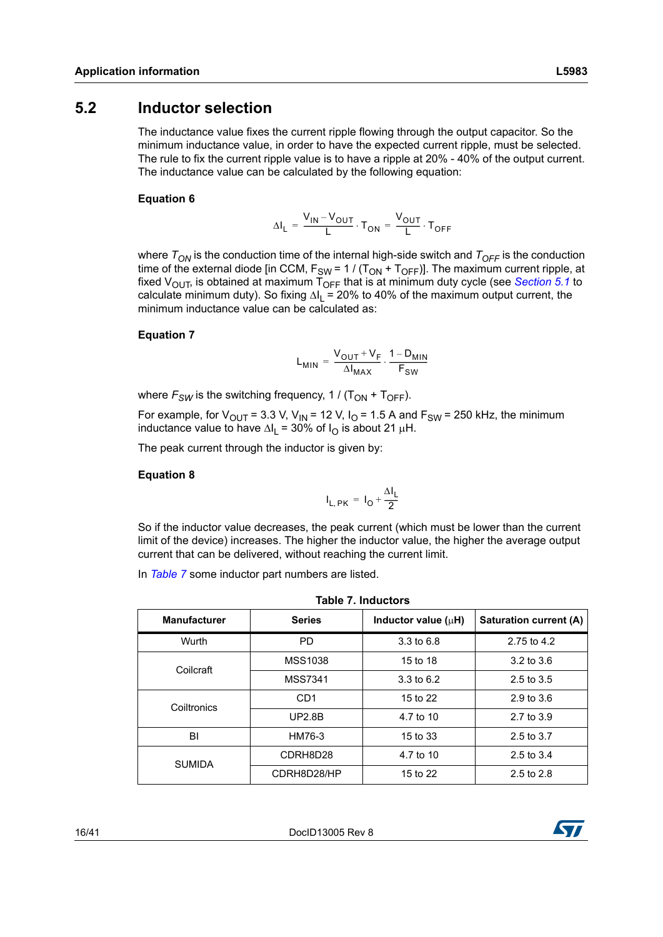### <span id="page-15-0"></span>**5.2 Inductor selection**

The inductance value fixes the current ripple flowing through the output capacitor. So the minimum inductance value, in order to have the expected current ripple, must be selected. The rule to fix the current ripple value is to have a ripple at 20% - 40% of the output current. The inductance value can be calculated by the following equation:

#### **Equation 6**

$$
\Delta I_{L} = \frac{V_{IN} - V_{OUT}}{L} \cdot T_{ON} = \frac{V_{OUT}}{L} \cdot T_{OFF}
$$

where  $T_{ON}$  is the conduction time of the internal high-side switch and  $T_{OFF}$  is the conduction time of the external diode [in CCM,  $F_{SW} = 1 / (T_{ON} + T_{OFF})$ ]. The maximum current ripple, at fixed  $V_{\text{OUT}}$ , is obtained at maximum  $\overline{T}_{\text{OFF}}$  that is at minimum duty cycle (see *[Section 5.1](#page-14-1)* to calculate minimum duty). So fixing  $\Delta I_1 = 20\%$  to 40% of the maximum output current, the minimum inductance value can be calculated as:

#### **Equation 7**

$$
L_{MIN} = \frac{V_{OUT} + V_F}{\Delta I_{MAX}} \cdot \frac{1 - D_{MIN}}{F_{SW}}
$$

where  $F_{SW}$  is the switching frequency, 1 / ( $T_{ON}$  +  $T_{OFF}$ ).

For example, for  $V_{OUT}$  = 3.3 V, V<sub>IN</sub> = 12 V, I<sub>O</sub> = 1.5 A and F<sub>SW</sub> = 250 kHz, the minimum inductance value to have  $\Delta I_1 = 30\%$  of  $I_{\Omega}$  is about 21  $\mu$ H.

The peak current through the inductor is given by:

#### **Equation 8**

$$
I_{L, PK} = I_0 + \frac{\Delta I_L}{2}
$$

So if the inductor value decreases, the peak current (which must be lower than the current limit of the device) increases. The higher the inductor value, the higher the average output current that can be delivered, without reaching the current limit.

In *[Table 7](#page-15-1)* some inductor part numbers are listed.

<span id="page-15-1"></span>

| <b>Table 7. Inductors</b> |                 |                          |                               |  |  |  |
|---------------------------|-----------------|--------------------------|-------------------------------|--|--|--|
| <b>Manufacturer</b>       | <b>Series</b>   | Inductor value $(\mu H)$ | <b>Saturation current (A)</b> |  |  |  |
| Wurth                     | <b>PD</b>       | $3.3 \text{ to } 6.8$    | 2.75 to 4.2                   |  |  |  |
| Coilcraft                 | <b>MSS1038</b>  | 15 to 18                 | 3.2 to 3.6                    |  |  |  |
|                           | <b>MSS7341</b>  | $3.3 \text{ to } 6.2$    | $2.5$ to $3.5$                |  |  |  |
| Coiltronics               | CD <sub>1</sub> | 15 to 22                 | 2.9 to 3.6                    |  |  |  |
|                           | <b>UP2.8B</b>   | 4.7 to 10                | 2.7 to 3.9                    |  |  |  |
| BI                        | HM76-3          | 15 to 33                 | 2.5 to 3.7                    |  |  |  |
| <b>SUMIDA</b>             | CDRH8D28        | 4.7 to 10                | 2.5 to 3.4                    |  |  |  |
|                           | CDRH8D28/HP     | 15 to 22                 | 2.5 to 2.8                    |  |  |  |

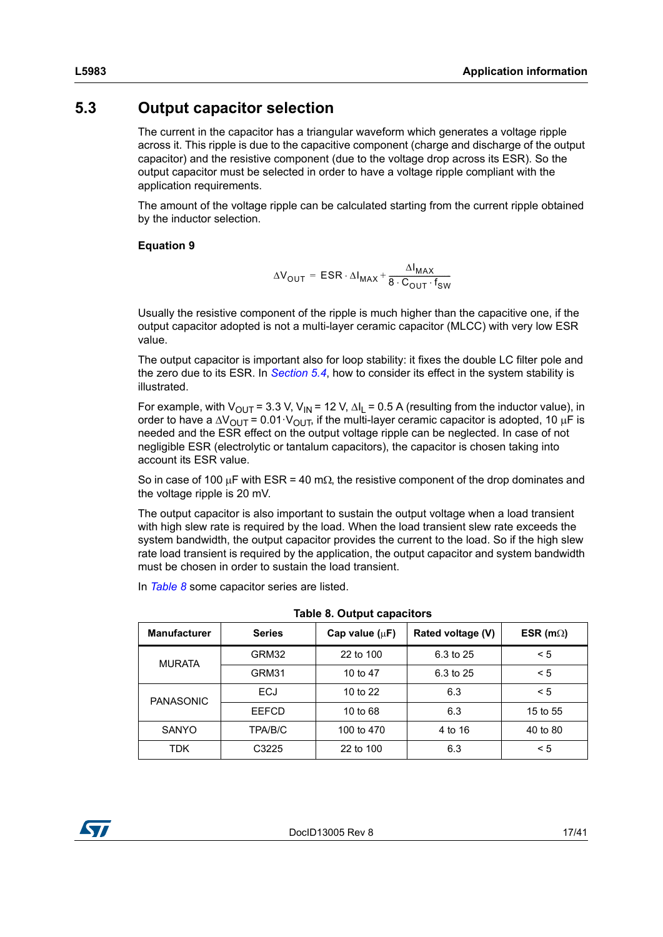### <span id="page-16-0"></span>**5.3 Output capacitor selection**

The current in the capacitor has a triangular waveform which generates a voltage ripple across it. This ripple is due to the capacitive component (charge and discharge of the output capacitor) and the resistive component (due to the voltage drop across its ESR). So the output capacitor must be selected in order to have a voltage ripple compliant with the application requirements.

The amount of the voltage ripple can be calculated starting from the current ripple obtained by the inductor selection.

### **Equation 9**

$$
\Delta V_{OUT} = ESR \cdot \Delta I_{MAX} + \frac{\Delta I_{MAX}}{8 \cdot C_{OUT} \cdot f_{SW}}
$$

Usually the resistive component of the ripple is much higher than the capacitive one, if the output capacitor adopted is not a multi-layer ceramic capacitor (MLCC) with very low ESR value.

The output capacitor is important also for loop stability: it fixes the double LC filter pole and the zero due to its ESR. In *[Section 5.4](#page-17-0)*, how to consider its effect in the system stability is illustrated.

For example, with  $V_{\text{OUT}} = 3.3$  V,  $V_{\text{IN}} = 12$  V,  $\Delta I_I = 0.5$  A (resulting from the inductor value), in order to have a  $\Delta V_{\text{OUT}} = 0.01 \cdot V_{\text{OUT}}$ , if the multi-layer ceramic capacitor is adopted, 10 µF is needed and the ESR effect on the output voltage ripple can be neglected. In case of not negligible ESR (electrolytic or tantalum capacitors), the capacitor is chosen taking into account its ESR value.

So in case of 100  $\mu$ F with ESR = 40 m $\Omega$ , the resistive component of the drop dominates and the voltage ripple is 20 mV.

The output capacitor is also important to sustain the output voltage when a load transient with high slew rate is required by the load. When the load transient slew rate exceeds the system bandwidth, the output capacitor provides the current to the load. So if the high slew rate load transient is required by the application, the output capacitor and system bandwidth must be chosen in order to sustain the load transient.

In *[Table 8](#page-16-1)* some capacitor series are listed.

<span id="page-16-1"></span>

| <b>Manufacturer</b> | <b>Series</b> | Cap value $(uF)$ | Rated voltage (V) | ESR (m $\Omega$ ) |
|---------------------|---------------|------------------|-------------------|-------------------|
| <b>MURATA</b>       | GRM32         | 22 to 100        | 6.3 to 25         | < 5               |
|                     | GRM31         | 10 to 47         | 6.3 to 25         | $\leq 5$          |
| <b>PANASONIC</b>    | <b>ECJ</b>    | 10 to 22         | 6.3               | $\leq 5$          |
|                     | EEFCD         | 10 to 68         | 6.3               | 15 to 55          |
| <b>SANYO</b>        | TPA/B/C       | 100 to 470       | 4 to 16           | 40 to 80          |
| TDK                 | C3225         | 22 to 100        | 6.3               | < 5               |

**Table 8. Output capacitors**

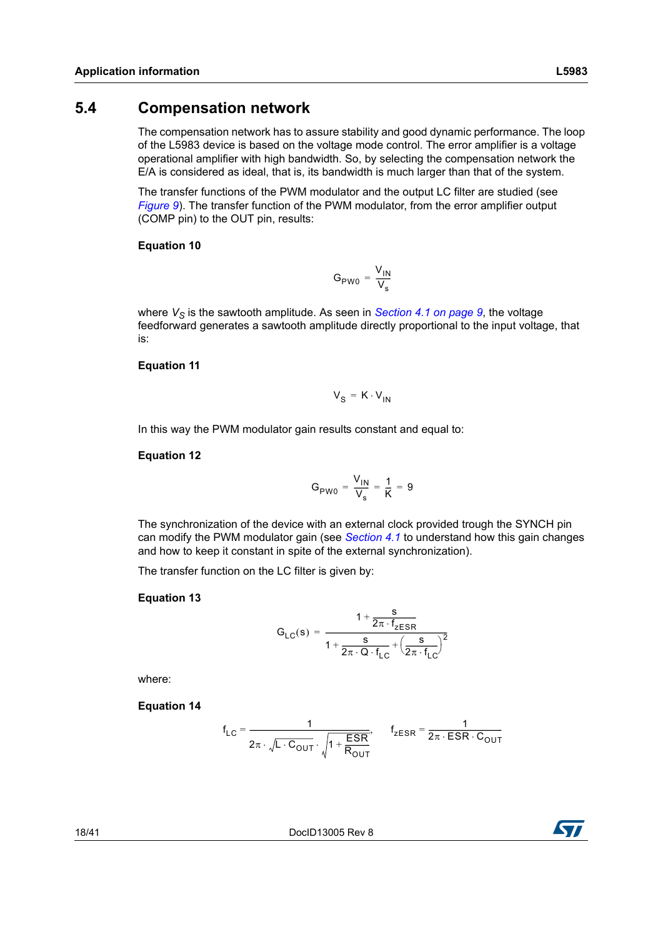### <span id="page-17-0"></span>**5.4 Compensation network**

The compensation network has to assure stability and good dynamic performance. The loop of the L5983 device is based on the voltage mode control. The error amplifier is a voltage operational amplifier with high bandwidth. So, by selecting the compensation network the E/A is considered as ideal, that is, its bandwidth is much larger than that of the system.

The transfer functions of the PWM modulator and the output LC filter are studied (see *[Figure 9](#page-18-1)*). The transfer function of the PWM modulator, from the error amplifier output (COMP pin) to the OUT pin, results:

#### **Equation 10**

$$
G_{PW0} = \frac{V_{IN}}{V_s}
$$

where  $V_S$  is the sawtooth amplitude. As seen in *[Section 4.1 on page 9](#page-8-0)*, the voltage feedforward generates a sawtooth amplitude directly proportional to the input voltage, that is:

#### **Equation 11**

$$
V_{S} = K \cdot V_{IN}
$$

In this way the PWM modulator gain results constant and equal to:

#### **Equation 12**

$$
G_{PWO} = \frac{V_{IN}}{V_s} = \frac{1}{K} = 9
$$

The synchronization of the device with an external clock provided trough the SYNCH pin can modify the PWM modulator gain (see *[Section 4.1](#page-8-0)* to understand how this gain changes and how to keep it constant in spite of the external synchronization).

The transfer function on the LC filter is given by:

### **Equation 13**

$$
G_{LC}(s) = \frac{1 + \frac{s}{2\pi \cdot f_{ZESR}}}{1 + \frac{s}{2\pi \cdot Q \cdot f_{LC}} + \left(\frac{s}{2\pi \cdot f_{LC}}\right)^2}
$$

where:

**Equation 14**

$$
f_{LC} = \frac{1}{2\pi \cdot \sqrt{L \cdot C_{OUT}} \cdot \sqrt{1 + \frac{ESR}{R_{OUT}}}}, \qquad f_{ZESR} = \frac{1}{2\pi \cdot ESR \cdot C_{OUT}}
$$

18/41 DocID13005 Rev 8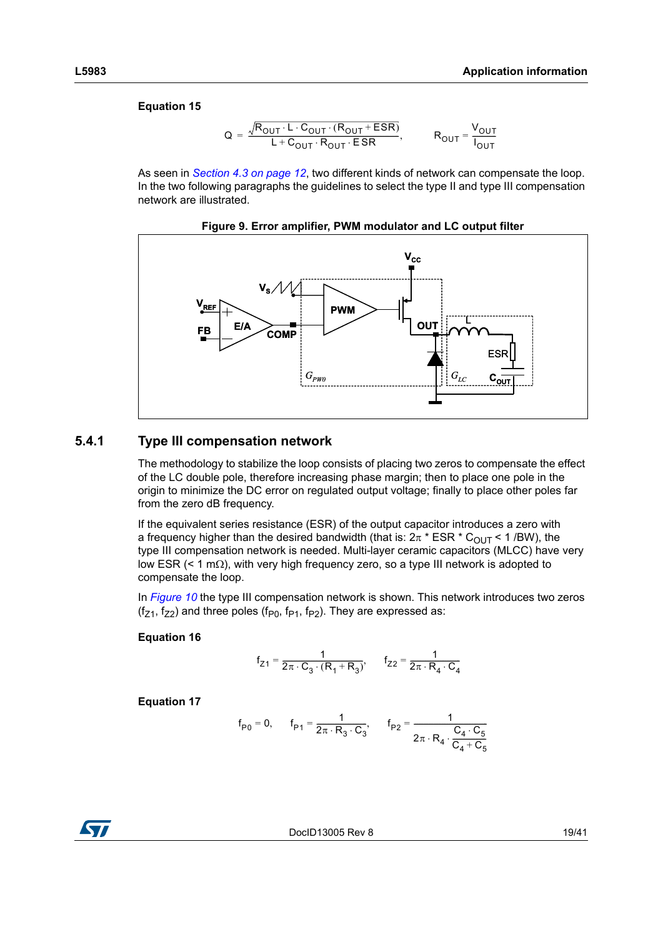#### **Equation 15**

$$
Q = \frac{\sqrt{R_{OUT} \cdot L \cdot C_{OUT} \cdot (R_{OUT} + ESR)}}{L + C_{OUT} \cdot R_{OUT} \cdot ESR}, \qquad R_{OUT} = \frac{V_{OUT}}{I_{OUT}}
$$

As seen in *[Section 4.3 on page 12](#page-11-0)*, two different kinds of network can compensate the loop. In the two following paragraphs the guidelines to select the type II and type III compensation network are illustrated.

<span id="page-18-1"></span>

**Figure 9. Error amplifier, PWM modulator and LC output filter**

#### <span id="page-18-0"></span>**5.4.1 Type III compensation network**

The methodology to stabilize the loop consists of placing two zeros to compensate the effect of the LC double pole, therefore increasing phase margin; then to place one pole in the origin to minimize the DC error on regulated output voltage; finally to place other poles far from the zero dB frequency.

If the equivalent series resistance (ESR) of the output capacitor introduces a zero with a frequency higher than the desired bandwidth (that is:  $2\pi * ESR * C<sub>OUT</sub> < 1$  /BW), the type III compensation network is needed. Multi-layer ceramic capacitors (MLCC) have very low ESR ( $\leq$  1 m $\Omega$ ), with very high frequency zero, so a type III network is adopted to compensate the loop.

In *[Figure 10](#page-19-0)* the type III compensation network is shown. This network introduces two zeros  $(f_{71}, f_{72})$  and three poles ( $f_{P0}$ ,  $f_{P1}$ ,  $f_{P2}$ ). They are expressed as:

#### **Equation 16**

$$
f_{Z1} = \frac{1}{2\pi \cdot C_3 \cdot (R_1 + R_3)}, \qquad f_{Z2} = \frac{1}{2\pi \cdot R_4 \cdot C_4}
$$

**Equation 17**

$$
f_{P0}=0,\qquad f_{P1}=\frac{1}{2\pi\cdot R_3\cdot C_3},\qquad f_{P2}=\frac{1}{2\pi\cdot R_4\cdot \frac{C_4\cdot C_5}{C_4+C_5}}
$$



DocID13005 Rev 8 19/41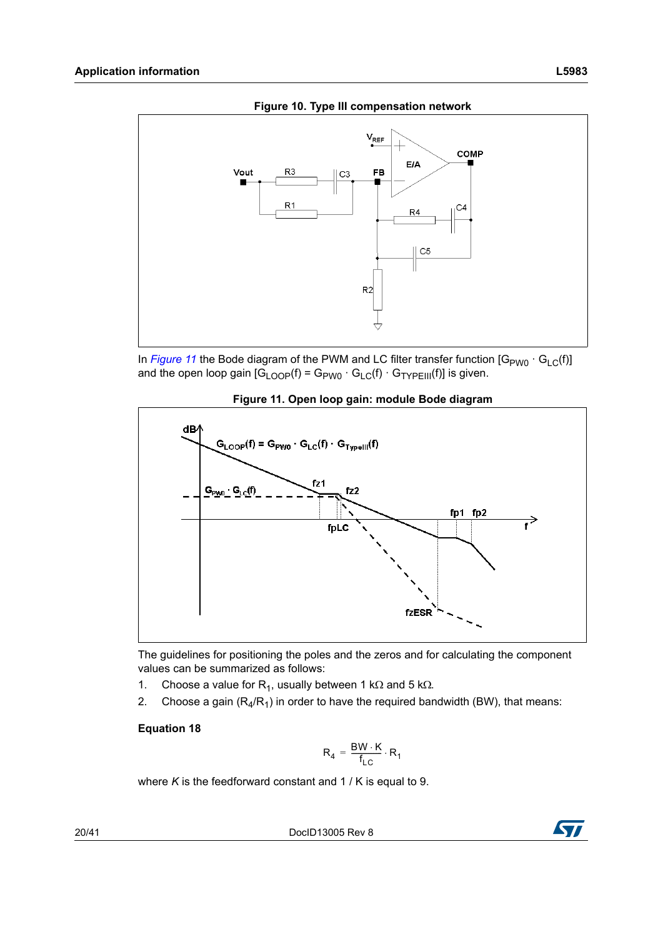<span id="page-19-0"></span>

**Figure 10. Type III compensation network**

In *[Figure 11](#page-19-1)* the Bode diagram of the PWM and LC filter transfer function [G<sub>PW0</sub> · G<sub>LC</sub>(f)] and the open loop gain  $[G_{\text{LOOP}}(f) = G_{\text{PWO}} \cdot G_{\text{LC}}(f) \cdot G_{\text{TYPEIII}}(f)]$  is given.

<span id="page-19-1"></span>

**Figure 11. Open loop gain: module Bode diagram**

The guidelines for positioning the poles and the zeros and for calculating the component values can be summarized as follows:

- 1. Choose a value for R<sub>1</sub>, usually between 1 k $\Omega$  and 5 k $\Omega$ .
- 2. Choose a gain  $(R_4/R_1)$  in order to have the required bandwidth (BW), that means:

#### **Equation 18**

$$
R_4 = \frac{BW \cdot K}{f_{LC}} \cdot R_1
$$

where *K* is the feedforward constant and 1 / K is equal to 9.

20/41 DocID13005 Rev 8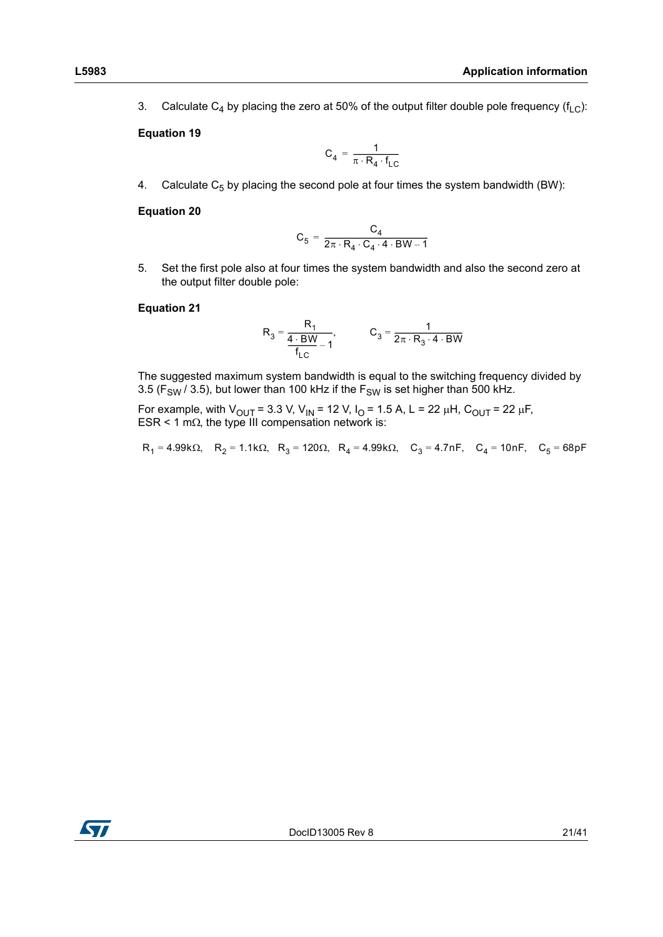3. Calculate C<sub>4</sub> by placing the zero at 50% of the output filter double pole frequency ( $f<sub>LC</sub>$ ):

#### **Equation 19**

$$
C_4 = \frac{1}{\pi \cdot R_4 \cdot f_{LC}}
$$

4. Calculate  $C_5$  by placing the second pole at four times the system bandwidth (BW):

#### **Equation 20**

$$
C_5 = \frac{C_4}{2\pi \cdot R_4 \cdot C_4 \cdot 4 \cdot BW - 1}
$$

5. Set the first pole also at four times the system bandwidth and also the second zero at the output filter double pole:

#### **Equation 21**

$$
R_3 = \frac{R_1}{\frac{4 \cdot BW}{f_{LC}} - 1}, \qquad C_3 = \frac{1}{2\pi \cdot R_3 \cdot 4 \cdot BW}
$$

The suggested maximum system bandwidth is equal to the switching frequency divided by 3.5 ( $F_{SW}$  / 3.5), but lower than 100 kHz if the  $F_{SW}$  is set higher than 500 kHz.

For example, with  $V_{\text{OUT}}$  = 3.3 V, V<sub>IN</sub> = 12 V, I<sub>O</sub> = 1.5 A, L = 22 µH, C<sub>OUT</sub> = 22 µF, ESR < 1 m $\Omega$ , the type III compensation network is:

 $R_1 = 4.99k\Omega$ ,  $R_2 = 1.1k\Omega$ ,  $R_3 = 120\Omega$ ,  $R_4 = 4.99k\Omega$ ,  $C_3 = 4.7nF$ ,  $C_4 = 10nF$ ,  $C_5 = 68pF$ 

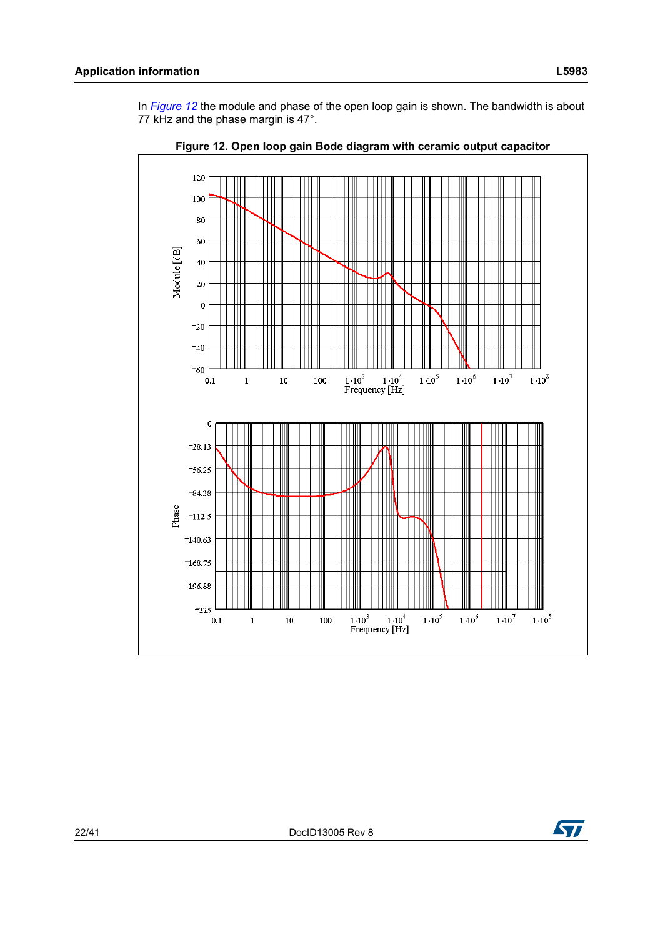In *[Figure 12](#page-21-0)* the module and phase of the open loop gain is shown. The bandwidth is about 77 kHz and the phase margin is 47°.

<span id="page-21-0"></span>

**Figure 12. Open loop gain Bode diagram with ceramic output capacitor**

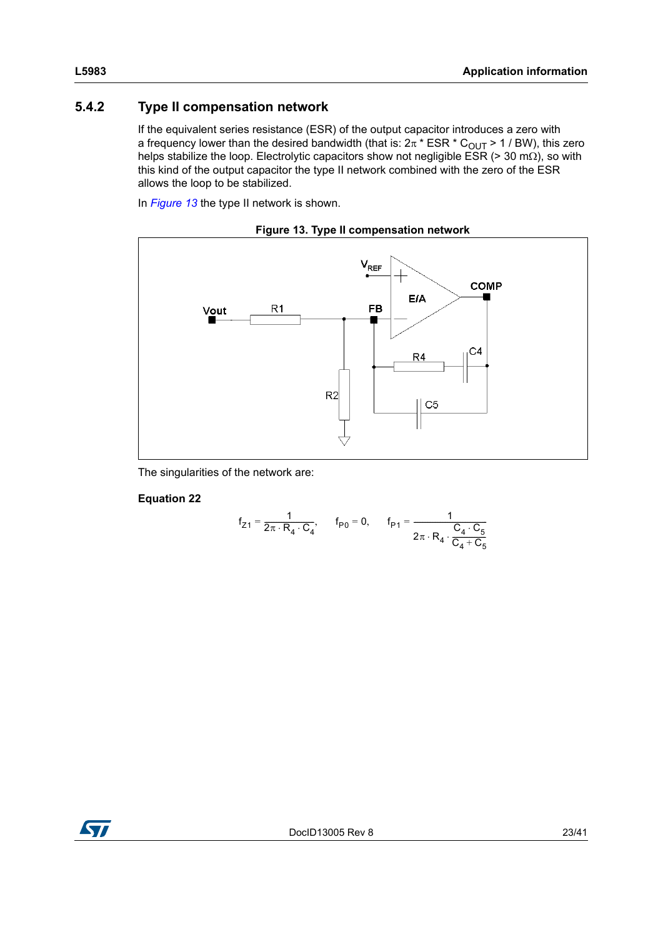### <span id="page-22-0"></span>**5.4.2 Type II compensation network**

If the equivalent series resistance (ESR) of the output capacitor introduces a zero with a frequency lower than the desired bandwidth (that is:  $2\pi * ESR * C<sub>OUT</sub> > 1$  / BW), this zero helps stabilize the loop. Electrolytic capacitors show not negligible ESR (> 30 m $\Omega$ ), so with this kind of the output capacitor the type II network combined with the zero of the ESR allows the loop to be stabilized.

In *[Figure 13](#page-22-1)* the type II network is shown.

**Figure 13. Type II compensation network**

<span id="page-22-1"></span>

The singularities of the network are:

#### <span id="page-22-2"></span>**Equation 22**

$$
f_{Z1} = \frac{1}{2\pi \cdot R_4 \cdot C_4}, \qquad f_{P0} = 0, \qquad f_{P1} = \frac{1}{2\pi \cdot R_4 \cdot \frac{C_4 \cdot C_5}{C_4 + C_5}}
$$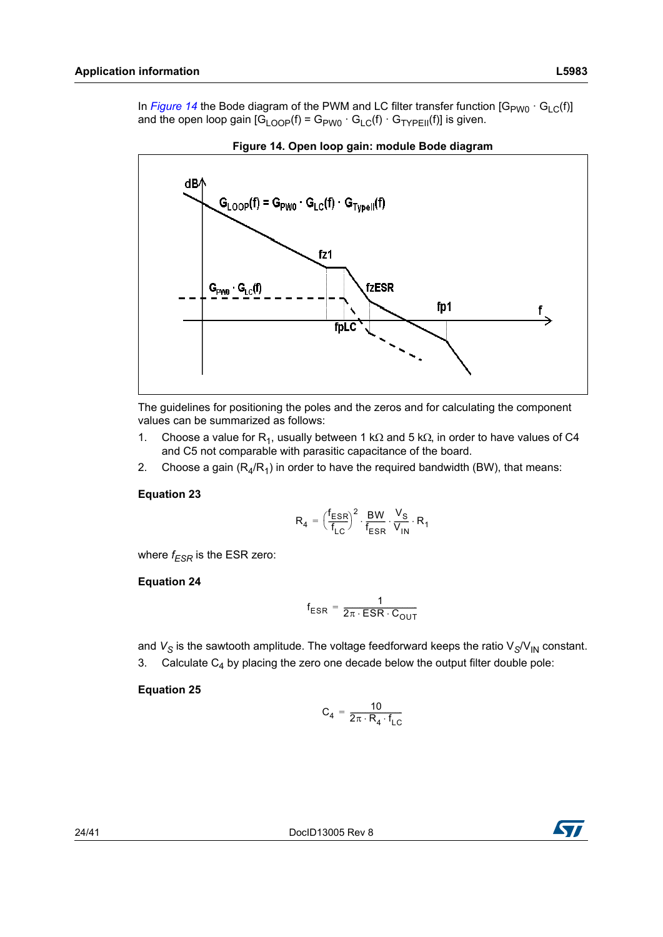In *[Figure 14](#page-23-0)* the Bode diagram of the PWM and LC filter transfer function  $[G_{PWO} \cdot G_{C}(f)]$ and the open loop gain  $[G_{\text{LOP}}(f) = G_{\text{PWO}} \cdot G_{\text{LC}}(f) \cdot G_{\text{TVPFill}}(f)]$  is given.

<span id="page-23-0"></span>



The guidelines for positioning the poles and the zeros and for calculating the component values can be summarized as follows:

- 1. Choose a value for R<sub>1</sub>, usually between 1 k $\Omega$  and 5 k $\Omega$ , in order to have values of C4 and C5 not comparable with parasitic capacitance of the board.
- 2. Choose a gain  $(R_4/R_1)$  in order to have the required bandwidth (BW), that means:

#### **Equation 23**

$$
\mathsf{R}_4 = \Big(\frac{\mathsf{f}_{\text{ESR}}}{\mathsf{f}_{\text{LC}}}\Big)^2 \cdot \frac{\mathsf{BW}}{\mathsf{f}_{\text{ESR}}} \cdot \frac{\mathsf{V}_{\text{S}}}{\mathsf{V}_{\text{IN}}} \cdot \mathsf{R}_1
$$

where  $f_{FSR}$  is the ESR zero:

#### **Equation 24**

$$
f_{ESR} = \frac{1}{2\pi \cdot ESR \cdot C_{OUT}}
$$

and  $V_S$  is the sawtooth amplitude. The voltage feedforward keeps the ratio  $V_S/V_{IN}$  constant. 3. Calculate  $C_4$  by placing the zero one decade below the output filter double pole:

#### **Equation 25**

$$
C_4 = \frac{10}{2\pi \cdot R_4 \cdot f_{LC}}
$$

24/41 DocID13005 Rev 8

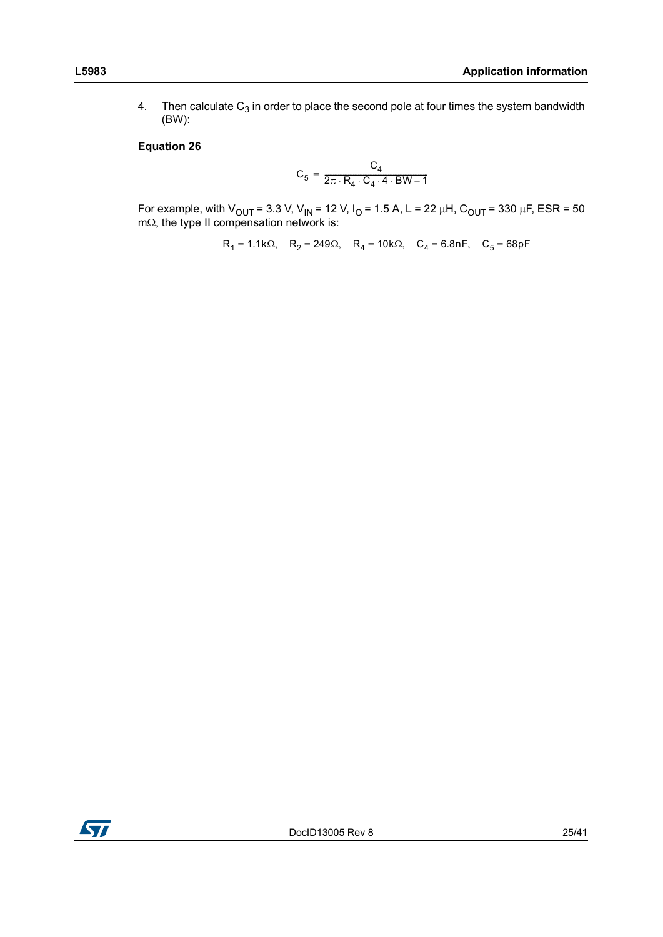4. Then calculate  $C_3$  in order to place the second pole at four times the system bandwidth (BW):

#### **Equation 26**

$$
C_5 = \frac{C_4}{2\pi \cdot R_4 \cdot C_4 \cdot 4 \cdot BW - 1}
$$

For example, with V<sub>OUT</sub> = 3.3 V, V<sub>IN</sub> = 12 V, I<sub>O</sub> = 1.5 A, L = 22  $\mu$ H, C<sub>OUT</sub> = 330  $\mu$ F, ESR = 50  $m\Omega$ , the type II compensation network is:

 $R_1 = 1.1k\Omega$ ,  $R_2 = 249\Omega$ ,  $R_4 = 10k\Omega$ ,  $C_4 = 6.8nF$ ,  $C_5 = 68pF$ 

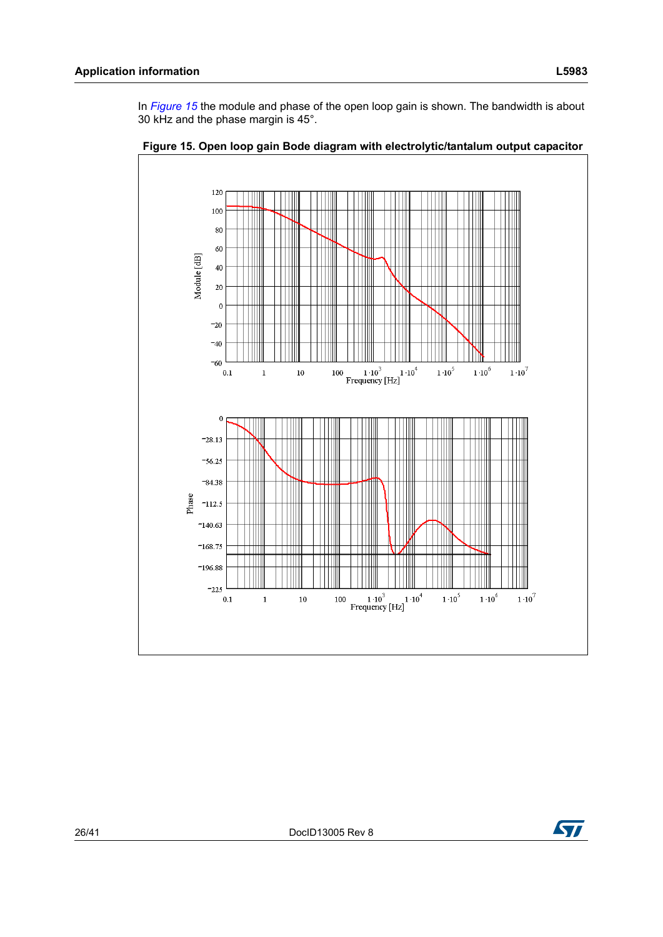In *[Figure 15](#page-25-0)* the module and phase of the open loop gain is shown. The bandwidth is about 30 kHz and the phase margin is 45°.



<span id="page-25-0"></span>**Figure 15. Open loop gain Bode diagram with electrolytic/tantalum output capacitor**

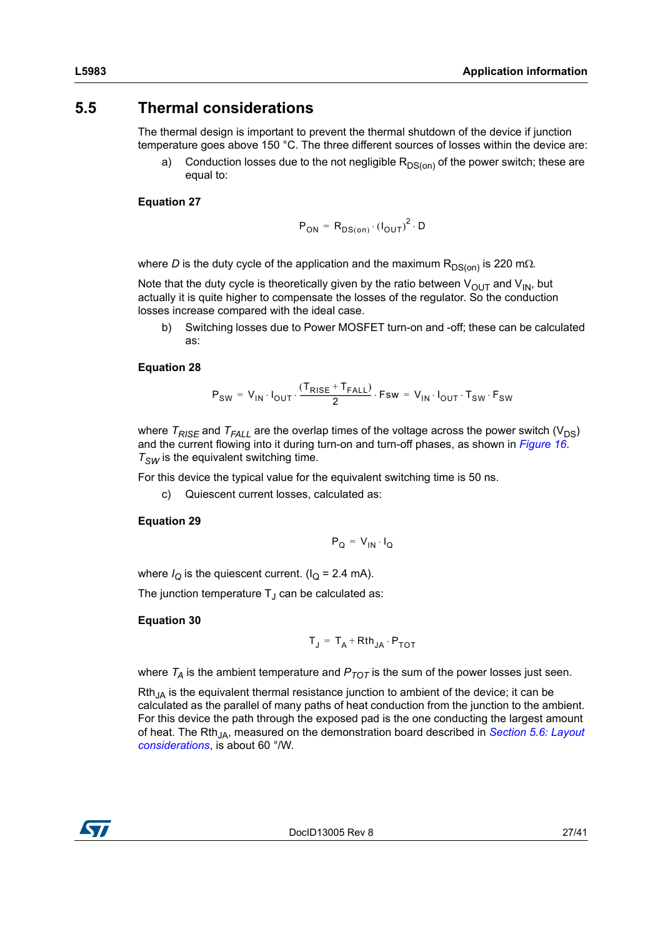### <span id="page-26-0"></span>**5.5 Thermal considerations**

The thermal design is important to prevent the thermal shutdown of the device if junction temperature goes above 150 °C. The three different sources of losses within the device are:

a) Conduction losses due to the not negligible  $R_{DS(on)}$  of the power switch; these are equal to:

#### **Equation 27**

$$
P_{ON} = R_{DS(on)} \cdot (I_{OUT})^2 \cdot D
$$

where *D* is the duty cycle of the application and the maximum  $R_{DS(0n)}$  is 220 m.

Note that the duty cycle is theoretically given by the ratio between  $V_{\text{OUT}}$  and  $V_{\text{IN}}$ , but actually it is quite higher to compensate the losses of the regulator. So the conduction losses increase compared with the ideal case.

b) Switching losses due to Power MOSFET turn-on and -off; these can be calculated as:

#### **Equation 28**

$$
\mathsf{P}_{\mathsf{SW}} = \mathsf{V}_{\mathsf{IN}} \cdot \mathsf{I}_{\mathsf{OUT}} \cdot \frac{(\mathsf{T}_{\mathsf{RISE}} + \mathsf{T}_{\mathsf{FALL}})}{2} \cdot \mathsf{Fsw} = \mathsf{V}_{\mathsf{IN}} \cdot \mathsf{I}_{\mathsf{OUT}} \cdot \mathsf{T}_{\mathsf{SW}} \cdot \mathsf{F}_{\mathsf{SW}}
$$

where  $T_{RISE}$  and  $T_{FALL}$  are the overlap times of the voltage across the power switch (V<sub>DS</sub>) and the current flowing into it during turn-on and turn-off phases, as shown in *[Figure 16](#page-27-1)*.  $T_{SW}$  is the equivalent switching time.

For this device the typical value for the equivalent switching time is 50 ns.

c) Quiescent current losses, calculated as:

#### **Equation 29**

$$
P_Q = V_{IN} \cdot I_Q
$$

where  $I_{\Omega}$  is the quiescent current. ( $I_{\Omega}$  = 2.4 mA).

The junction temperature  $T_J$  can be calculated as:

#### **Equation 30**

$$
T_J = T_A + Rth_{JA} \cdot P_{TOT}
$$

where  $T_A$  is the ambient temperature and  $P_{TOT}$  is the sum of the power losses just seen.

 $Rth_{\mu}$  is the equivalent thermal resistance junction to ambient of the device; it can be calculated as the parallel of many paths of heat conduction from the junction to the ambient. For this device the path through the exposed pad is the one conducting the largest amount of heat. The Rth<sub>JA</sub>, measured on the demonstration board described in *Section 5.6: Layout [considerations](#page-27-0)*, is about 60 °/W.

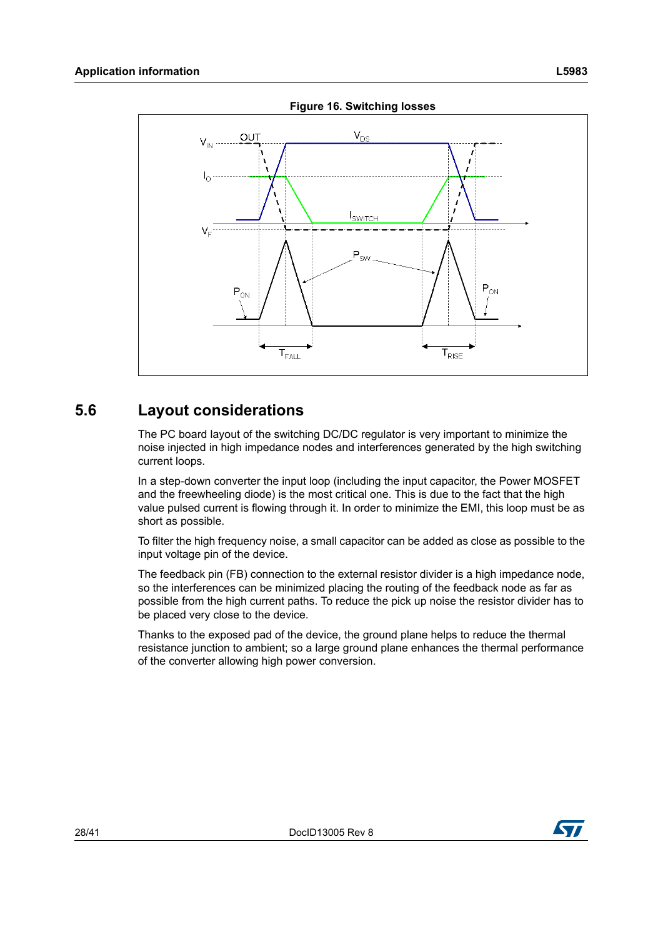<span id="page-27-1"></span>

**Figure 16. Switching losses**

### <span id="page-27-0"></span>**5.6 Layout considerations**

The PC board layout of the switching DC/DC regulator is very important to minimize the noise injected in high impedance nodes and interferences generated by the high switching current loops.

In a step-down converter the input loop (including the input capacitor, the Power MOSFET and the freewheeling diode) is the most critical one. This is due to the fact that the high value pulsed current is flowing through it. In order to minimize the EMI, this loop must be as short as possible.

To filter the high frequency noise, a small capacitor can be added as close as possible to the input voltage pin of the device.

The feedback pin (FB) connection to the external resistor divider is a high impedance node, so the interferences can be minimized placing the routing of the feedback node as far as possible from the high current paths. To reduce the pick up noise the resistor divider has to be placed very close to the device.

Thanks to the exposed pad of the device, the ground plane helps to reduce the thermal resistance junction to ambient; so a large ground plane enhances the thermal performance of the converter allowing high power conversion.

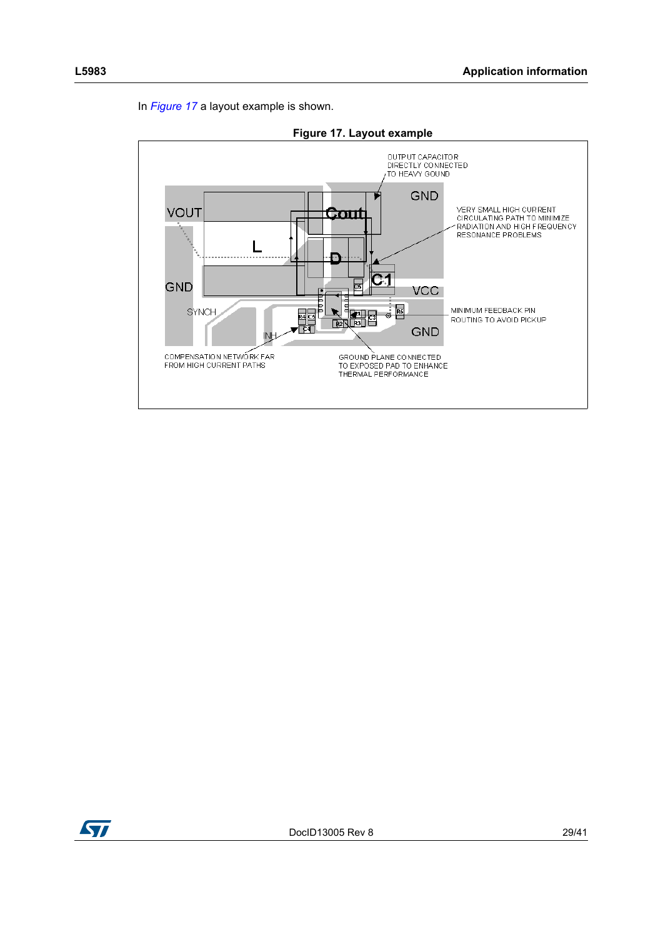

<span id="page-28-0"></span>

**Figure 17. Layout example**

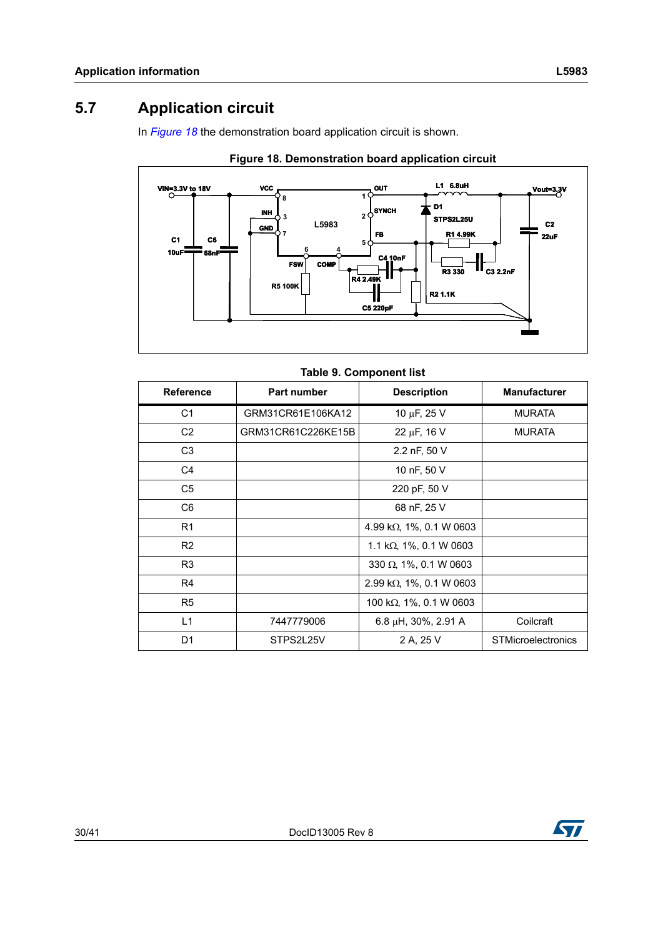### <span id="page-29-0"></span>**5.7 Application circuit**

In *[Figure 18](#page-29-1)* the demonstration board application circuit is shown.

<span id="page-29-1"></span>

**Figure 18. Demonstration board application circuit**

| Table 5. Component ust |                    |                                  |                           |  |  |
|------------------------|--------------------|----------------------------------|---------------------------|--|--|
| <b>Reference</b>       | <b>Part number</b> | <b>Description</b>               | <b>Manufacturer</b>       |  |  |
| C <sub>1</sub>         | GRM31CR61E106KA12  | 10 $\mu$ F, 25 V                 | <b>MURATA</b>             |  |  |
| C <sub>2</sub>         | GRM31CR61C226KE15B | 22 $\mu$ F, 16 V                 | <b>MURATA</b>             |  |  |
| C <sub>3</sub>         |                    | 2.2 nF, 50 V                     |                           |  |  |
| C <sub>4</sub>         |                    | 10 nF, 50 V                      |                           |  |  |
| C <sub>5</sub>         |                    | 220 pF, 50 V                     |                           |  |  |
| C <sub>6</sub>         |                    | 68 nF, 25 V                      |                           |  |  |
| R <sub>1</sub>         |                    | 4.99 k $\Omega$ , 1%, 0.1 W 0603 |                           |  |  |
| R <sub>2</sub>         |                    | 1.1 k $\Omega$ , 1%, 0.1 W 0603  |                           |  |  |
| R <sub>3</sub>         |                    | 330 $\Omega$ , 1%, 0.1 W 0603    |                           |  |  |
| R <sub>4</sub>         |                    | 2.99 k $\Omega$ , 1%, 0.1 W 0603 |                           |  |  |
| R <sub>5</sub>         |                    | 100 k $\Omega$ , 1%, 0.1 W 0603  |                           |  |  |
| L1                     | 7447779006         | $6.8 \mu H$ , 30%, 2.91 A        | Coilcraft                 |  |  |
| D <sub>1</sub>         | STPS2L25V          | 2 A, 25 V                        | <b>STMicroelectronics</b> |  |  |



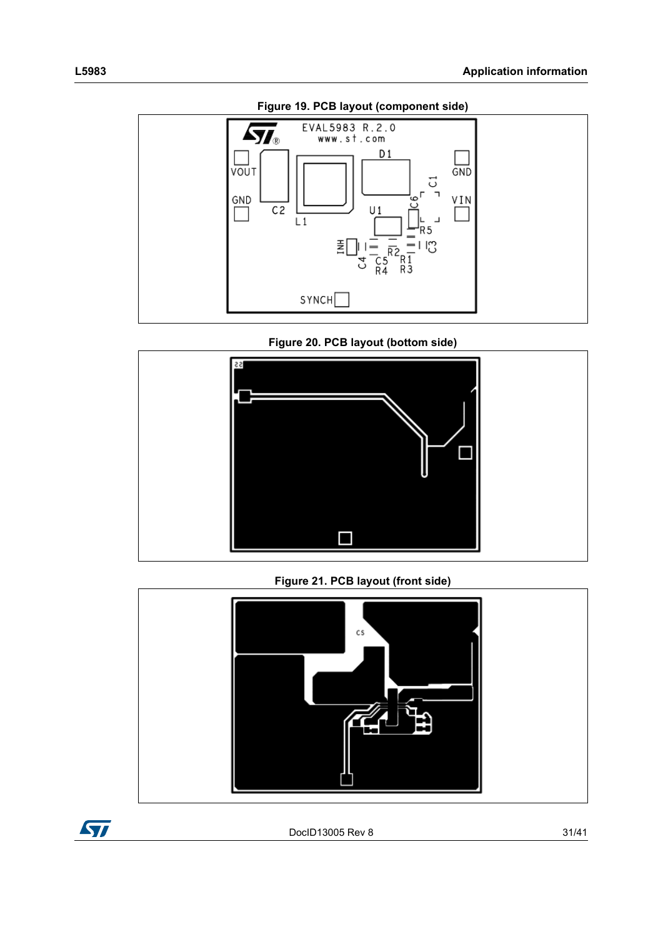<span id="page-30-0"></span>

**Figure 19. PCB layout (component side)**

**Figure 20. PCB layout (bottom side)**

<span id="page-30-1"></span>

**Figure 21. PCB layout (front side)**

<span id="page-30-2"></span>

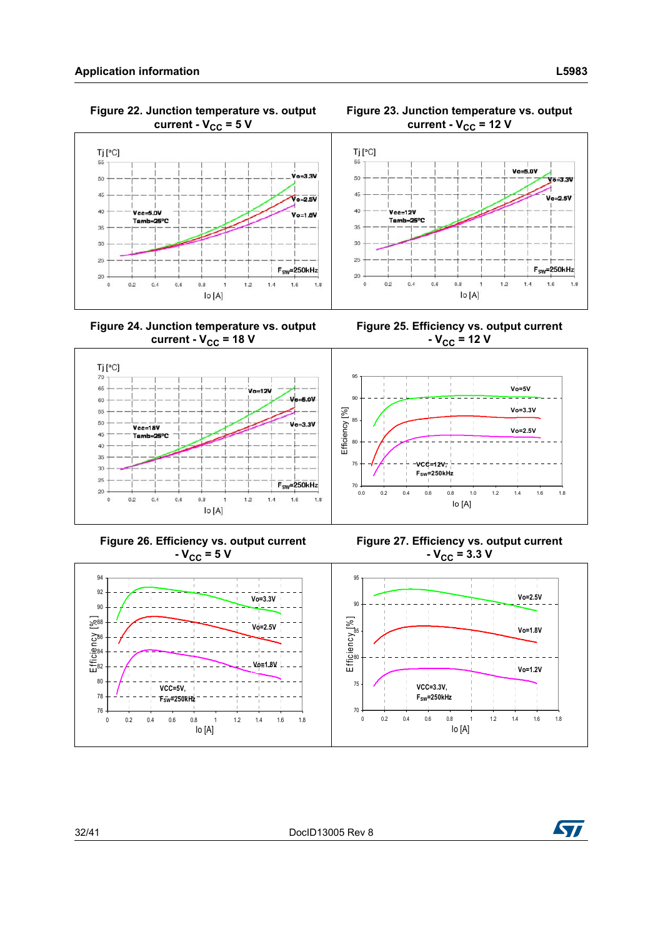$70$ 65

60

55

50

45

 $20$ 

<span id="page-31-0"></span> **Figure 22. Junction temperature vs. output**  current -  $V_{CC}$  = 5 V



**Figure 24. Junction temperature vs. output**  current -  $V_{CC}$  = 18 V



**Figure 23. Junction temperature vs. output**  current -  $V_{CC}$  = 12 V

<span id="page-31-1"></span>**Figure 25. Efficiency vs. output current**   $-V_{CC}$  = 12 V



Tj [°C]

55

50

45

40

35

Vcc=12V

Tamb=25°C

**Figure 26. Efficiency vs. output current Figure 27. Efficiency vs. output current**  $-V_{CC} = 5 V$  $-V_{CC}$  = 3.3 V 94 95 92 **Vo=2.5V Vo=3.3V** 90 90  $588$ Efficiency [% ]  $Effic$ iency $\lbrack\!\lbrack\% \rbrack\!\rbrack$ **Vo=2.5V Vo=1.8V** 85 86  $\overline{a}$ 84 80 **Vo=1.8V Vo=1.2V**82 80 75 **VCC=3.3V, VCC=5V, FSW=250kHz** 78 **FSW=250kHz** 76 70 0 0.2 0.4 0.6 0.8 1 1.2 1.4 1.6 1.8 0 0.2 0.4 0.6 0.8 1 1.2 1.4 1.6 1.8 Io [A] Io [A]



Vo=3.3V

 $V_0 = 2.5V$ 

 $V_0 = 0V$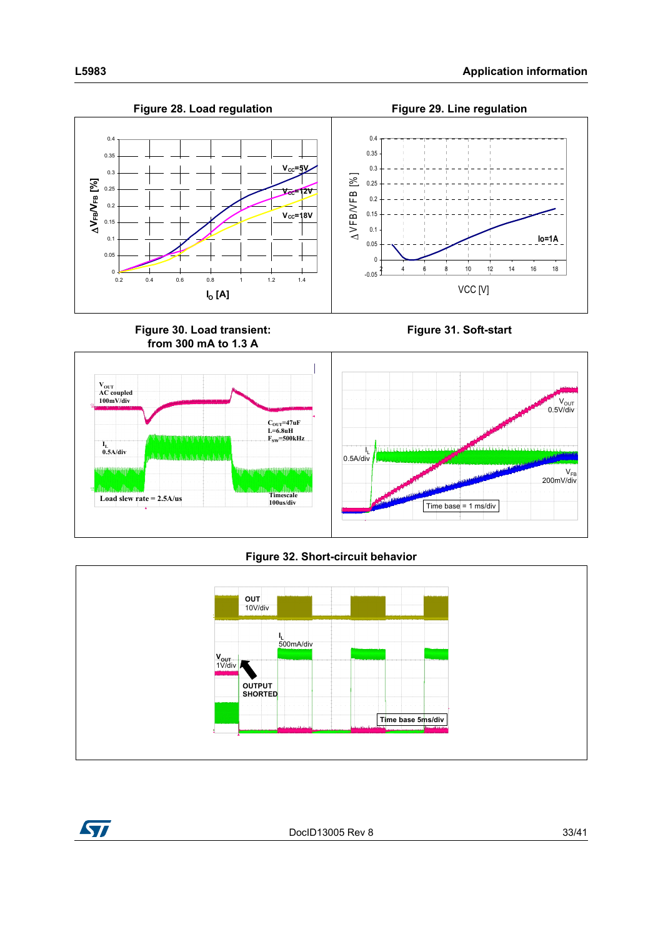

### **Figure 32. Short-circuit behavior**

<span id="page-32-0"></span>



DocID13005 Rev 8 33/41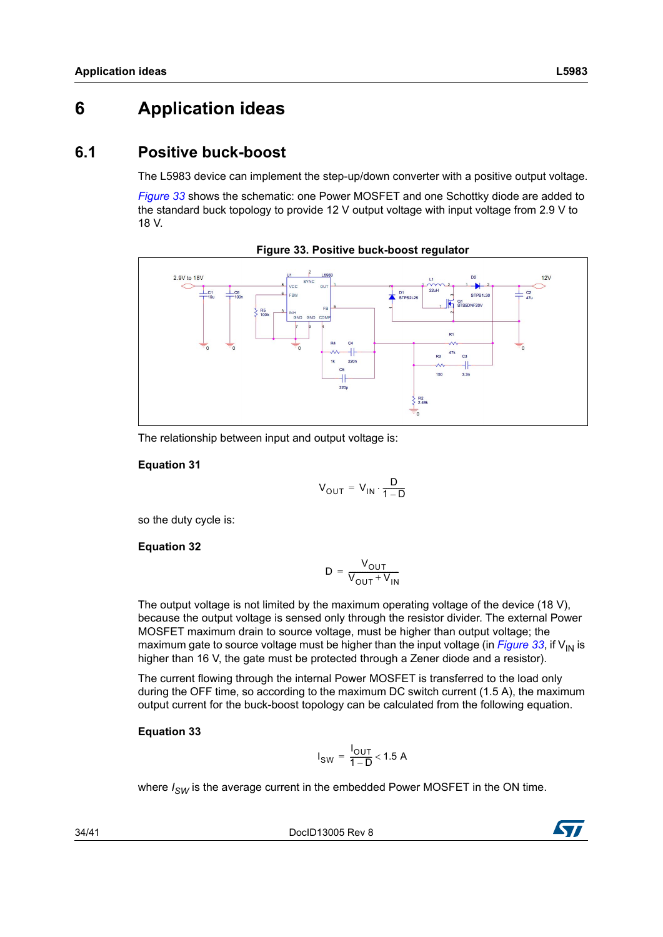## <span id="page-33-0"></span>**6 Application ideas**

### <span id="page-33-1"></span>**6.1 Positive buck-boost**

The L5983 device can implement the step-up/down converter with a positive output voltage.

*[Figure 33](#page-33-2)* shows the schematic: one Power MOSFET and one Schottky diode are added to the standard buck topology to provide 12 V output voltage with input voltage from 2.9 V to 18 V.

<span id="page-33-2"></span>

**Figure 33. Positive buck-boost regulator**

The relationship between input and output voltage is:

#### **Equation 31**

$$
V_{OUT} = V_{IN} \cdot \frac{D}{1 - D}
$$

so the duty cycle is:

#### **Equation 32**

$$
D = \frac{V_{OUT}}{V_{OUT} + V_{IN}}
$$

The output voltage is not limited by the maximum operating voltage of the device (18 V), because the output voltage is sensed only through the resistor divider. The external Power MOSFET maximum drain to source voltage, must be higher than output voltage; the maximum gate to source voltage must be higher than the input voltage (in *[Figure 33](#page-33-2)*, if  $V_{\text{IN}}$  is higher than 16 V, the gate must be protected through a Zener diode and a resistor).

The current flowing through the internal Power MOSFET is transferred to the load only during the OFF time, so according to the maximum DC switch current (1.5 A), the maximum output current for the buck-boost topology can be calculated from the following equation.

#### **Equation 33**

$$
I_{SW} = \frac{I_{OUT}}{1-D} < 1.5 \text{ A}
$$

where  $I_{SW}$  is the average current in the embedded Power MOSFET in the ON time.

34/41 DocID13005 Rev 8

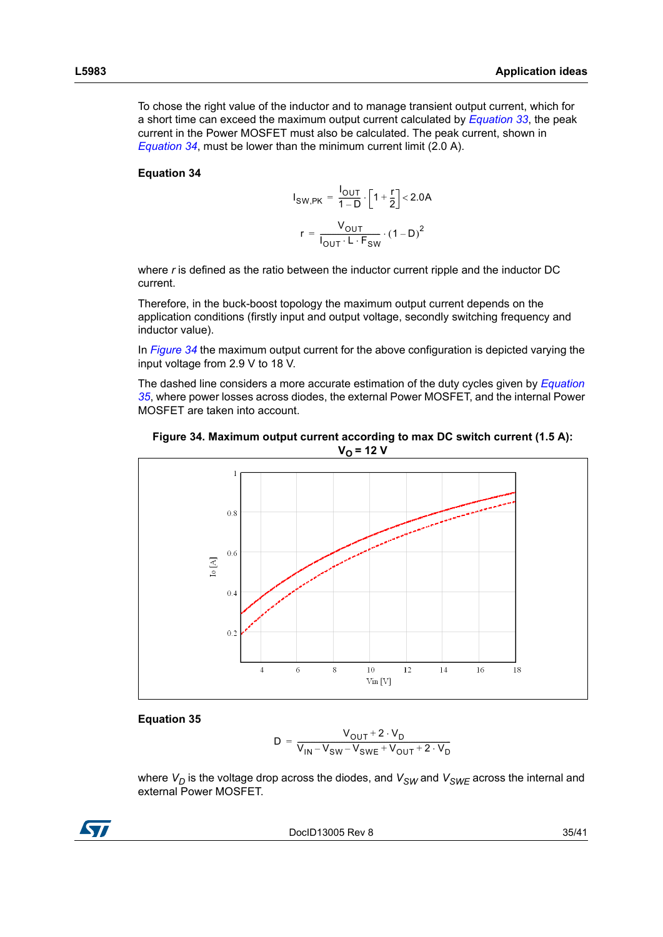To chose the right value of the inductor and to manage transient output current, which for a short time can exceed the maximum output current calculated by *Equation 33*, the peak current in the Power MOSFET must also be calculated. The peak current, shown in *Equation 34*, must be lower than the minimum current limit (2.0 A).

#### **Equation 34**

$$
I_{SW,PK} = \frac{I_{OUT}}{1 - D} \cdot \left[1 + \frac{r}{2}\right] < 2.0A
$$

$$
r = \frac{V_{OUT}}{I_{OUT} \cdot L \cdot F_{SW}} \cdot (1 - D)^{2}
$$

where *r* is defined as the ratio between the inductor current ripple and the inductor DC current.

Therefore, in the buck-boost topology the maximum output current depends on the application conditions (firstly input and output voltage, secondly switching frequency and inductor value).

In *[Figure 34](#page-34-0)* the maximum output current for the above configuration is depicted varying the input voltage from 2.9 V to 18 V.

The dashed line considers a more accurate estimation of the duty cycles given by *Equation 35*, where power losses across diodes, the external Power MOSFET, and the internal Power MOSFET are taken into account.

<span id="page-34-0"></span>



#### **Equation 35**

$$
D = \frac{V_{OUT} + 2 \cdot V_D}{V_{IN} - V_{SW} - V_{SWE} + V_{OUT} + 2 \cdot V_D}
$$

where  $V_D$  is the voltage drop across the diodes, and  $V_{SW}$  and  $V_{SWE}$  across the internal and external Power MOSFET.



DocID13005 Rev 8 35/41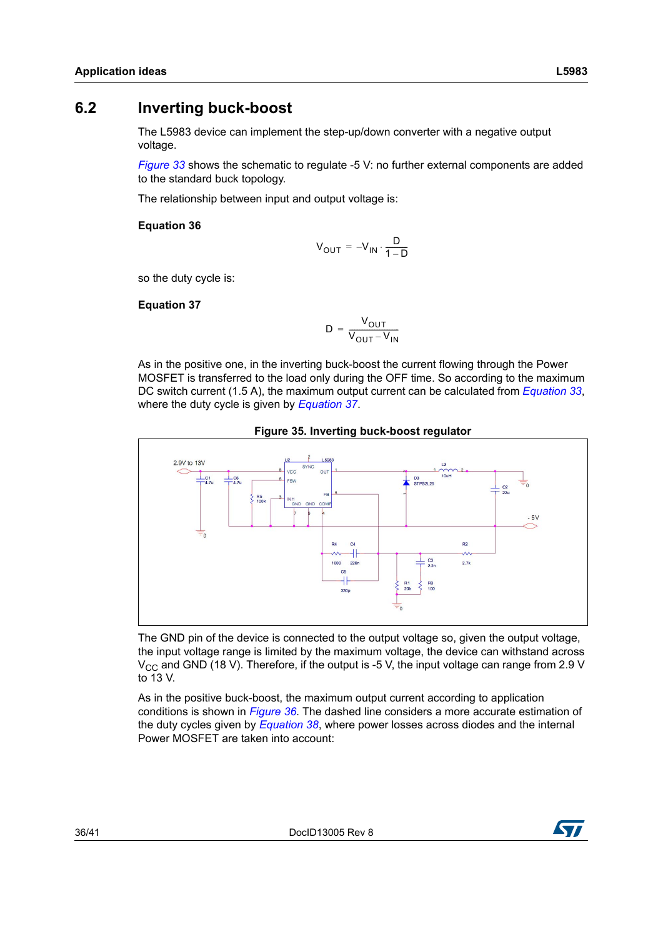<span id="page-35-0"></span>The L5983 device can implement the step-up/down converter with a negative output voltage.

*[Figure 33](#page-33-2)* shows the schematic to regulate -5 V: no further external components are added to the standard buck topology.

The relationship between input and output voltage is:

#### **Equation 36**

$$
V_{OUT} = -V_{IN} \cdot \frac{D}{1 - D}
$$

so the duty cycle is:

#### **Equation 37**

$$
D = \frac{V_{OUT}}{V_{OUT} - V_{IN}}
$$

As in the positive one, in the inverting buck-boost the current flowing through the Power MOSFET is transferred to the load only during the OFF time. So according to the maximum DC switch current (1.5 A), the maximum output current can be calculated from *Equation 33*, where the duty cycle is given by *Equation 37*.





The GND pin of the device is connected to the output voltage so, given the output voltage, the input voltage range is limited by the maximum voltage, the device can withstand across  $V_{\text{CC}}$  and GND (18 V). Therefore, if the output is -5 V, the input voltage can range from 2.9 V to 13 V.

As in the positive buck-boost, the maximum output current according to application conditions is shown in *[Figure 36](#page-36-0)*. The dashed line considers a more accurate estimation of the duty cycles given by *Equation 38*, where power losses across diodes and the internal Power MOSFET are taken into account:

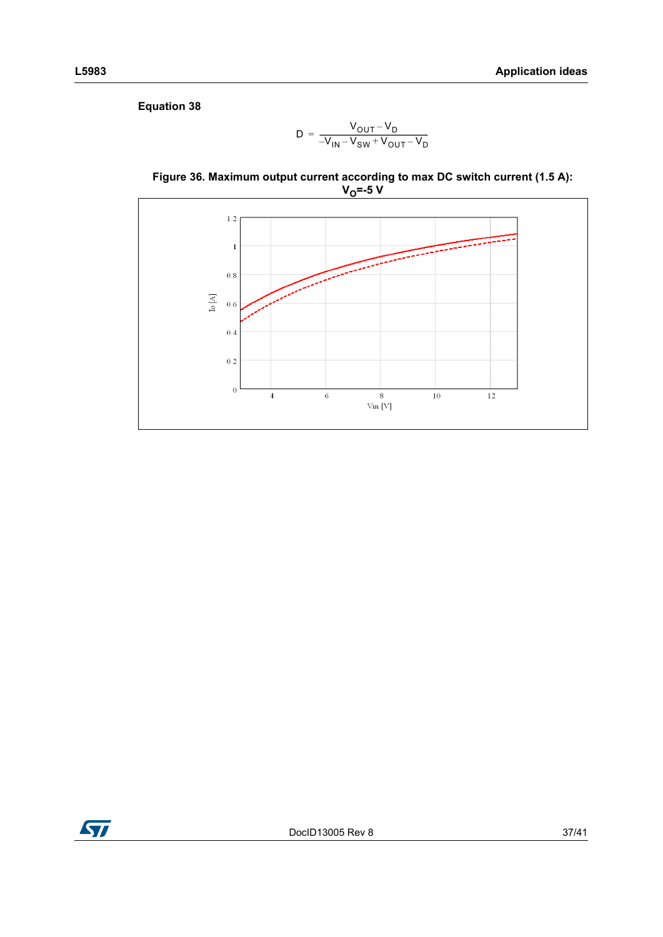**Equation 38**

$$
D = \frac{V_{OUT} - V_D}{-V_{IN} - V_{SW} + V_{OUT} - V_D}
$$

<span id="page-36-0"></span>



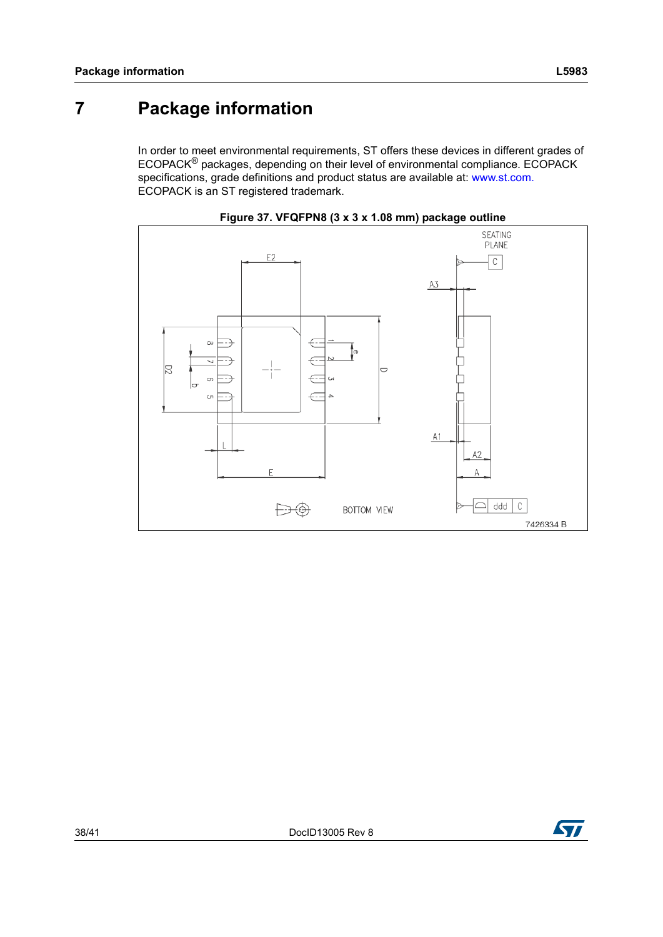## <span id="page-37-0"></span>**7 Package information**

In order to meet environmental requirements, ST offers these devices in different grades of ECOPACK® packages, depending on their level of environmental compliance. ECOPACK specifications, grade definitions and product status are available at: www.st.com. ECOPACK is an ST registered trademark.

<span id="page-37-1"></span>



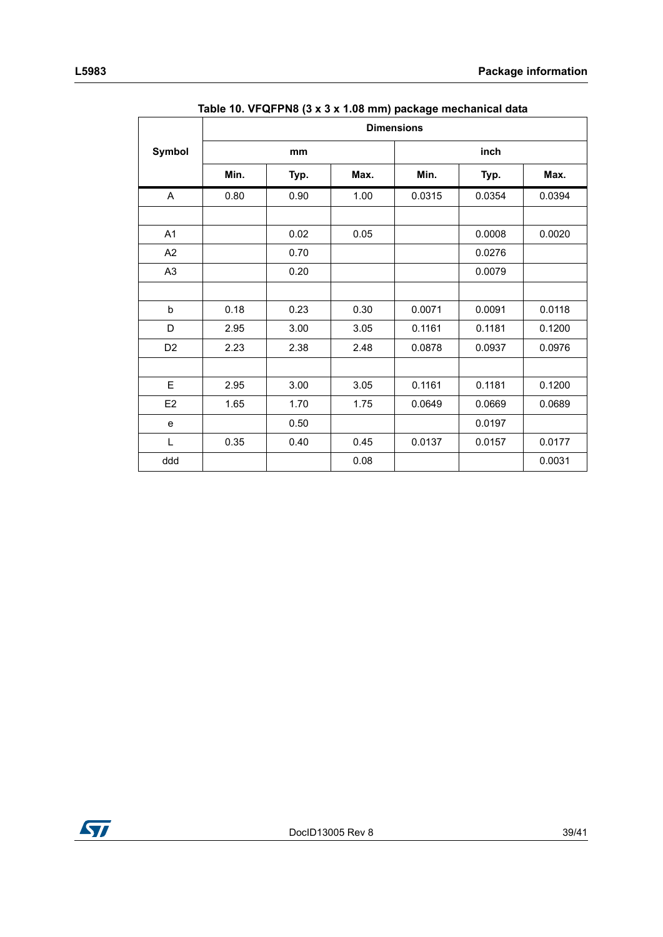<span id="page-38-0"></span>

|                | <b>Dimensions</b> |      |      |        |        |        |  |
|----------------|-------------------|------|------|--------|--------|--------|--|
| Symbol         |                   | mm   |      |        | inch   |        |  |
|                | Min.              | Typ. | Max. | Min.   | Typ.   | Max.   |  |
| A              | 0.80              | 0.90 | 1.00 | 0.0315 | 0.0354 | 0.0394 |  |
|                |                   |      |      |        |        |        |  |
| A1             |                   | 0.02 | 0.05 |        | 0.0008 | 0.0020 |  |
| A2             |                   | 0.70 |      |        | 0.0276 |        |  |
| A <sub>3</sub> |                   | 0.20 |      |        | 0.0079 |        |  |
|                |                   |      |      |        |        |        |  |
| $\sf b$        | 0.18              | 0.23 | 0.30 | 0.0071 | 0.0091 | 0.0118 |  |
| D              | 2.95              | 3.00 | 3.05 | 0.1161 | 0.1181 | 0.1200 |  |
| D <sub>2</sub> | 2.23              | 2.38 | 2.48 | 0.0878 | 0.0937 | 0.0976 |  |
|                |                   |      |      |        |        |        |  |
| E              | 2.95              | 3.00 | 3.05 | 0.1161 | 0.1181 | 0.1200 |  |
| E <sub>2</sub> | 1.65              | 1.70 | 1.75 | 0.0649 | 0.0669 | 0.0689 |  |
| e              |                   | 0.50 |      |        | 0.0197 |        |  |
| L              | 0.35              | 0.40 | 0.45 | 0.0137 | 0.0157 | 0.0177 |  |
| ddd            |                   |      | 0.08 |        |        | 0.0031 |  |

|  |  |  |  |  | Table 10. VFQFPN8 (3 x 3 x 1.08 mm) package mechanical data |  |
|--|--|--|--|--|-------------------------------------------------------------|--|
|--|--|--|--|--|-------------------------------------------------------------|--|

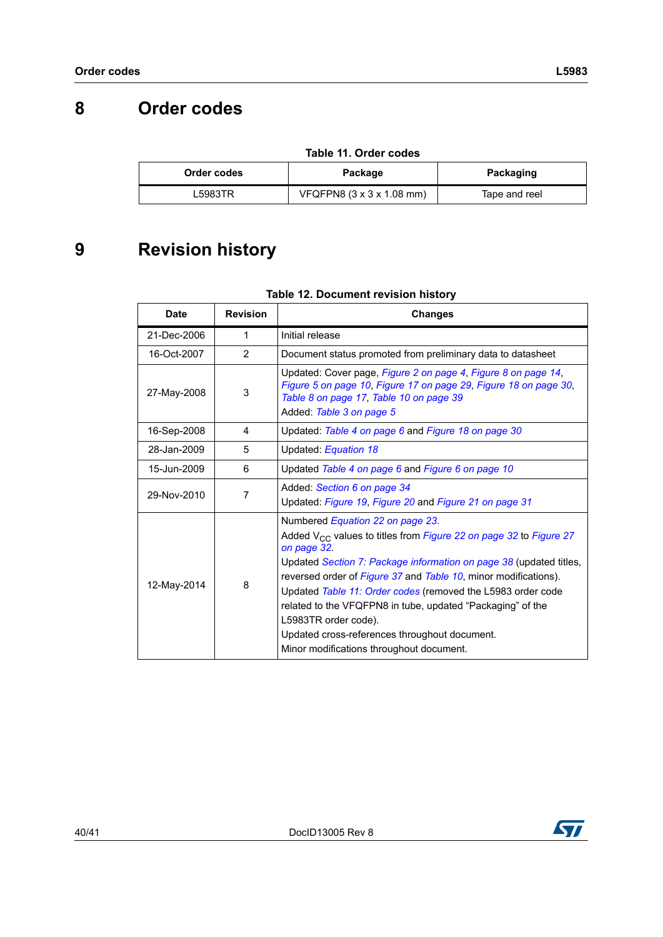## <span id="page-39-0"></span>**8 Order codes**

<span id="page-39-2"></span>

| Order codes | Package                                       | Packaging     |  |  |
|-------------|-----------------------------------------------|---------------|--|--|
| ∟5983TR     | VFQFPN8 $(3 \times 3 \times 1.08 \text{ mm})$ | Tape and reel |  |  |

#### **Table 11. Order codes**

## <span id="page-39-1"></span>**9 Revision history**

#### **Table 12. Document revision history**

| <b>Date</b> | <b>Revision</b> | <b>Changes</b>                                                                                                                                                                                                                                                                                                                                                                                                                                                                                                       |
|-------------|-----------------|----------------------------------------------------------------------------------------------------------------------------------------------------------------------------------------------------------------------------------------------------------------------------------------------------------------------------------------------------------------------------------------------------------------------------------------------------------------------------------------------------------------------|
| 21-Dec-2006 | 1               | Initial release                                                                                                                                                                                                                                                                                                                                                                                                                                                                                                      |
| 16-Oct-2007 | $\overline{2}$  | Document status promoted from preliminary data to datasheet                                                                                                                                                                                                                                                                                                                                                                                                                                                          |
| 27-May-2008 | 3               | Updated: Cover page, Figure 2 on page 4, Figure 8 on page 14,<br>Figure 5 on page 10, Figure 17 on page 29, Figure 18 on page 30,<br>Table 8 on page 17, Table 10 on page 39<br>Added: Table 3 on page 5                                                                                                                                                                                                                                                                                                             |
| 16-Sep-2008 | 4               | Updated: Table 4 on page 6 and Figure 18 on page 30                                                                                                                                                                                                                                                                                                                                                                                                                                                                  |
| 28-Jan-2009 | 5               | Updated: Equation 18                                                                                                                                                                                                                                                                                                                                                                                                                                                                                                 |
| 15-Jun-2009 | 6               | Updated Table 4 on page 6 and Figure 6 on page 10                                                                                                                                                                                                                                                                                                                                                                                                                                                                    |
| 29-Nov-2010 | 7               | Added: Section 6 on page 34<br>Updated: Figure 19, Figure 20 and Figure 21 on page 31                                                                                                                                                                                                                                                                                                                                                                                                                                |
| 12-May-2014 | 8               | Numbered Equation 22 on page 23.<br>Added $V_{CC}$ values to titles from Figure 22 on page 32 to Figure 27<br>on page 32.<br>Updated Section 7: Package information on page 38 (updated titles,<br>reversed order of Figure 37 and Table 10, minor modifications).<br>Updated Table 11: Order codes (removed the L5983 order code<br>related to the VFQFPN8 in tube, updated "Packaging" of the<br>L5983TR order code).<br>Updated cross-references throughout document.<br>Minor modifications throughout document. |